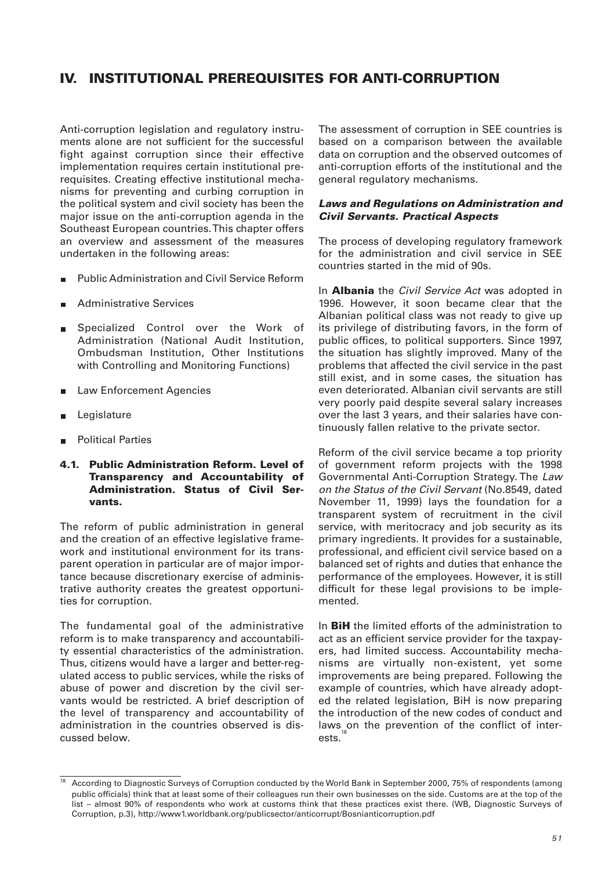# **IV. INSTITUTIONAL PREREQUISITES FOR ANTI-CORRUPTION**

Anti-corruption legislation and regulatory instruments alone are not sufficient for the successful fight against corruption since their effective implementation requires certain institutional prerequisites. Creating effective institutional mechanisms for preventing and curbing corruption in the political system and civil society has been the major issue on the anti-corruption agenda in the Southeast European countries. This chapter offers an overview and assessment of the measures undertaken in the following areas:

- Public Administration and Civil Service Reform  $\blacksquare$
- Administrative Services Ē.
- **B** Specialized Control over the Work of Administration (National Audit Institution, Ombudsman Institution, Other Institutions with Controlling and Monitoring Functions)
- Law Enforcement Agencies  $\blacksquare$
- Legislature Ē.
- Political Parties

#### **4.1. Public Administration Reform. Level of Transparency and Accountability of Administration. Status of Civil Servants.**

The reform of public administration in general and the creation of an effective legislative framework and institutional environment for its transparent operation in particular are of major importance because discretionary exercise of administrative authority creates the greatest opportunities for corruption.

The fundamental goal of the administrative reform is to make transparency and accountability essential characteristics of the administration. Thus, citizens would have a larger and better-regulated access to public services, while the risks of abuse of power and discretion by the civil servants would be restricted. A brief description of the level of transparency and accountability of administration in the countries observed is discussed below.

The assessment of corruption in SEE countries is based on a comparison between the available data on corruption and the observed outcomes of anti-corruption efforts of the institutional and the general regulatory mechanisms.

#### *Laws and Regulations on Administration and Civil Servants. Practical Aspects*

The process of developing regulatory framework for the administration and civil service in SEE countries started in the mid of 90s.

In **Albania** the Civil Service Act was adopted in 1996. However, it soon became clear that the Albanian political class was not ready to give up its privilege of distributing favors, in the form of public offices, to political supporters. Since 1997, the situation has slightly improved. Many of the problems that affected the civil service in the past still exist, and in some cases, the situation has even deteriorated. Albanian civil servants are still very poorly paid despite several salary increases over the last 3 years, and their salaries have continuously fallen relative to the private sector.

Reform of the civil service became a top priority of government reform projects with the 1998 Governmental Anti-Corruption Strategy. The Law on the Status of the Civil Servant (No.8549, dated November 11, 1999) lays the foundation for a transparent system of recruitment in the civil service, with meritocracy and job security as its primary ingredients. It provides for a sustainable, professional, and efficient civil service based on a balanced set of rights and duties that enhance the performance of the employees. However, it is still difficult for these legal provisions to be implemented.

In **BiH** the limited efforts of the administration to act as an efficient service provider for the taxpayers, had limited success. Accountability mechanisms are virtually non-existent, yet some improvements are being prepared. Following the example of countries, which have already adopted the related legislation, BiH is now preparing the introduction of the new codes of conduct and laws on the prevention of the conflict of interests.

<sup>18</sup> According to Diagnostic Surveys of Corruption conducted by the World Bank in September 2000, 75% of respondents (among public officials) think that at least some of their colleagues run their own businesses on the side. Customs are at the top of the list – almost 90% of respondents who work at customs think that these practices exist there. (WB, Diagnostic Surveys of Corruption, p.3), http://www1.worldbank.org/publicsector/anticorrupt/Bosnianticorruption.pdf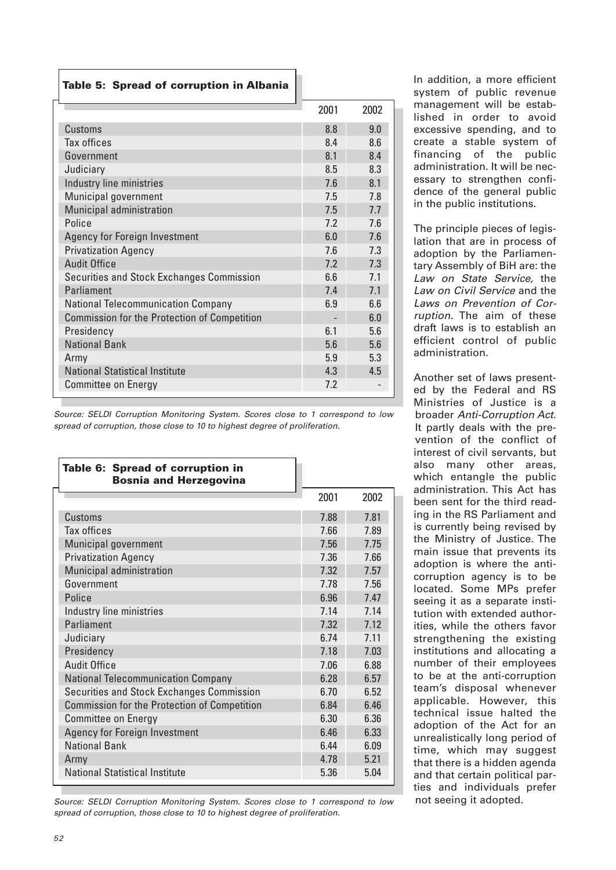# **Table 5: Spread of corruption in Albania**

|                                                     | 2001 | 2002 |
|-----------------------------------------------------|------|------|
| Customs                                             | 8.8  | 9.0  |
| Tax offices                                         | 8.4  | 8.6  |
| Government                                          | 8.1  | 8.4  |
| Judiciary                                           | 8.5  | 8.3  |
| Industry line ministries                            | 7.6  | 8.1  |
| Municipal government                                | 7.5  | 7.8  |
| Municipal administration                            | 7.5  | 7.7  |
| Police                                              | 7.2  | 7.6  |
| <b>Agency for Foreign Investment</b>                | 6.0  | 7.6  |
| <b>Privatization Agency</b>                         | 7.6  | 7.3  |
| <b>Audit Office</b>                                 | 7.2  | 7.3  |
| Securities and Stock Exchanges Commission           | 6.6  | 7.1  |
| Parliament                                          | 7.4  | 7.1  |
| <b>National Telecommunication Company</b>           | 6.9  | 6.6  |
| <b>Commission for the Protection of Competition</b> |      | 6.0  |
| Presidency                                          | 6.1  | 5.6  |
| <b>National Bank</b>                                | 5.6  | 5.6  |
| Army                                                | 5.9  | 5.3  |
| <b>National Statistical Institute</b>               | 4.3  | 4.5  |
| <b>Committee on Energy</b>                          | 7.2  |      |
|                                                     |      |      |

Source: SELDI Corruption Monitoring System. Scores close to 1 correspond to low spread of corruption, those close to 10 to highest degree of proliferation.

| Table 6: Spread of corruption in<br><b>Bosnia and Herzegovina</b> |      |       |
|-------------------------------------------------------------------|------|-------|
|                                                                   | 2001 | 2002  |
| Customs                                                           | 7.88 | 7.81  |
| <b>Tax offices</b>                                                | 7.66 | 7.89  |
| Municipal government                                              | 7.56 | 7.75  |
| <b>Privatization Agency</b>                                       | 7.36 | 7.66  |
| Municipal administration                                          | 7.32 | 7.57  |
| Government                                                        | 7.78 | 7.56  |
| Police                                                            | 6.96 | 747   |
| Industry line ministries                                          | 7.14 | 7.14  |
| Parliament                                                        | 7.32 | 7 1 2 |
| Judiciary                                                         | 6.74 | 7.11  |
| Presidency                                                        | 7.18 | 7.03  |
| <b>Audit Office</b>                                               | 7.06 | 6.88  |
| <b>National Telecommunication Company</b>                         | 6.28 | 6.57  |
| Securities and Stock Exchanges Commission                         | 6.70 | 6.52  |
| <b>Commission for the Protection of Competition</b>               | 6.84 | 6.46  |
| <b>Committee on Energy</b>                                        | 6.30 | 6.36  |
| <b>Agency for Foreign Investment</b>                              | 6.46 | 6.33  |
| <b>National Bank</b>                                              | 6.44 | 6.09  |
| Army                                                              | 4.78 | 5.21  |
| <b>National Statistical Institute</b>                             | 5.36 | 5.04  |

Source: SELDI Corruption Monitoring System. Scores close to 1 correspond to low spread of corruption, those close to 10 to highest degree of proliferation.

In addition, a more efficient system of public revenue management will be established in order to avoid excessive spending, and to create a stable system of financing of the public administration. It will be necessary to strengthen confidence of the general public in the public institutions.

The principle pieces of legislation that are in process of adoption by the Parliamentary Assembly of BiH are: the Law on State Service, the Law on Civil Service and the Laws on Prevention of Corruption. The aim of these draft laws is to establish an efficient control of public administration.

Another set of laws presented by the Federal and RS Ministries of Justice is a broader Anti-Corruption Act. It partly deals with the prevention of the conflict of interest of civil servants, but also many other areas, which entangle the public administration. This Act has been sent for the third reading in the RS Parliament and is currently being revised by the Ministry of Justice. The main issue that prevents its adoption is where the anticorruption agency is to be located. Some MPs prefer seeing it as a separate institution with extended authorities, while the others favor strengthening the existing institutions and allocating a number of their employees to be at the anti-corruption team's disposal whenever applicable. However, this technical issue halted the adoption of the Act for an unrealistically long period of time, which may suggest that there is a hidden agenda and that certain political parties and individuals prefer not seeing it adopted.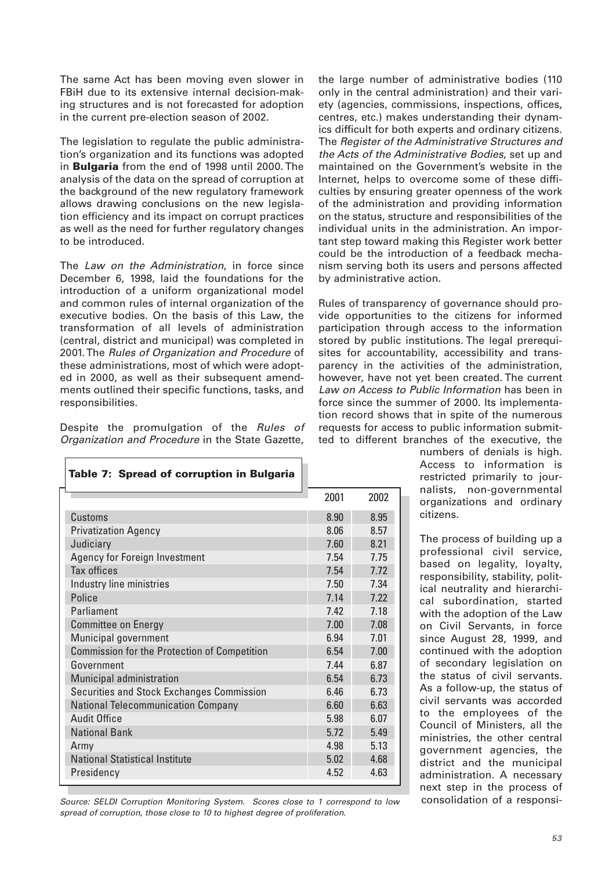The same Act has been moving even slower in FBiH due to its extensive internal decision-making structures and is not forecasted for adoption in the current pre-election season of 2002.

The legislation to regulate the public administration's organization and its functions was adopted in **Bulgaria** from the end of 1998 until 2000. The analysis of the data on the spread of corruption at the background of the new regulatory framework allows drawing conclusions on the new legislation efficiency and its impact on corrupt practices as well as the need for further regulatory changes to be introduced.

The Law on the Administration, in force since December 6, 1998, laid the foundations for the introduction of a uniform organizational model and common rules of internal organization of the executive bodies. On the basis of this Law, the transformation of all levels of administration (central, district and municipal) was completed in 2001. The Rules of Organization and Procedure of these administrations, most of which were adopted in 2000, as well as their subsequent amendments outlined their specific functions, tasks, and responsibilities.

Despite the promulgation of the Rules of Organization and Procedure in the State Gazette,

| Table 7: Spread of corruption in Bulgaria           |      |      |
|-----------------------------------------------------|------|------|
|                                                     | 2001 | 2002 |
| <b>Customs</b>                                      | 8.90 | 8.95 |
| <b>Privatization Agency</b>                         | 8.06 | 8.57 |
| Judiciary                                           | 7.60 | 8.21 |
| Agency for Foreign Investment                       | 7.54 | 7.75 |
| Tax offices                                         | 7.54 | 7.72 |
| Industry line ministries                            | 7.50 | 7 34 |
| Police                                              | 7.14 | 7.22 |
| Parliament                                          | 742  | 7.18 |
| <b>Committee on Energy</b>                          | 7.00 | 7.08 |
| Municipal government                                | 6.94 | 701  |
| <b>Commission for the Protection of Competition</b> | 6.54 | 7.00 |
| Government                                          | 744  | 6.87 |
| Municipal administration                            | 6.54 | 6.73 |
| Securities and Stock Exchanges Commission           | 6.46 | 6.73 |
| <b>National Telecommunication Company</b>           | 6.60 | 6.63 |
| Audit Office                                        | 5.98 | 6.07 |
| <b>National Bank</b>                                | 5.72 | 5.49 |
| Army                                                | 4.98 | 5.13 |
| <b>National Statistical Institute</b>               | 5.02 | 4.68 |
| Presidency                                          | 4.52 | 4.63 |

Source: SELDI Corruption Monitoring System. Scores close to 1 correspond to low spread of corruption, those close to 10 to highest degree of proliferation.

the large number of administrative bodies (110 only in the central administration) and their variety (agencies, commissions, inspections, offices, centres, etc.) makes understanding their dynamics difficult for both experts and ordinary citizens. The Register of the Administrative Structures and the Acts of the Administrative Bodies, set up and maintained on the Government's website in the Internet, helps to overcome some of these difficulties by ensuring greater openness of the work of the administration and providing information on the status, structure and responsibilities of the individual units in the administration. An important step toward making this Register work better could be the introduction of a feedback mechanism serving both its users and persons affected by administrative action.

Rules of transparency of governance should provide opportunities to the citizens for informed participation through access to the information stored by public institutions. The legal prerequisites for accountability, accessibility and transparency in the activities of the administration, however, have not yet been created. The current Law on Access to Public Information has been in force since the summer of 2000. Its implementation record shows that in spite of the numerous requests for access to public information submitted to different branches of the executive, the

> numbers of denials is high. Access to information is restricted primarily to journalists, non-governmental organizations and ordinary citizens.

The process of building up a professional civil service, based on legality, loyalty, responsibility, stability, political neutrality and hierarchical subordination, started with the adoption of the Law on Civil Servants, in force since August 28, 1999, and continued with the adoption of secondary legislation on the status of civil servants. As a follow-up, the status of civil servants was accorded to the employees of the Council of Ministers, all the ministries, the other central government agencies, the district and the municipal administration. A necessary next step in the process of consolidation of a responsi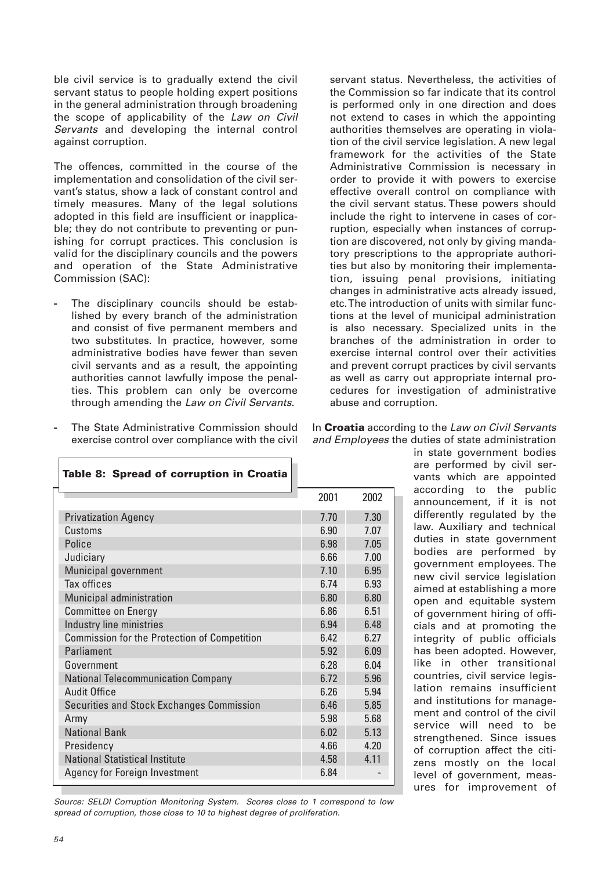ble civil service is to gradually extend the civil servant status to people holding expert positions in the general administration through broadening the scope of applicability of the Law on Civil Servants and developing the internal control against corruption.

The offences, committed in the course of the implementation and consolidation of the civil servant's status, show a lack of constant control and timely measures. Many of the legal solutions adopted in this field are insufficient or inapplicable; they do not contribute to preventing or punishing for corrupt practices. This conclusion is valid for the disciplinary councils and the powers and operation of the State Administrative Commission (SAC):

**-** The disciplinary councils should be established by every branch of the administration and consist of five permanent members and two substitutes. In practice, however, some administrative bodies have fewer than seven civil servants and as a result, the appointing authorities cannot lawfully impose the penalties. This problem can only be overcome through amending the Law on Civil Servants.

servant status. Nevertheless, the activities of the Commission so far indicate that its control is performed only in one direction and does not extend to cases in which the appointing authorities themselves are operating in violation of the civil service legislation. A new legal framework for the activities of the State Administrative Commission is necessary in order to provide it with powers to exercise effective overall control on compliance with the civil servant status. These powers should include the right to intervene in cases of corruption, especially when instances of corruption are discovered, not only by giving mandatory prescriptions to the appropriate authorities but also by monitoring their implementation, issuing penal provisions, initiating changes in administrative acts already issued, etc. The introduction of units with similar functions at the level of municipal administration is also necessary. Specialized units in the branches of the administration in order to exercise internal control over their activities and prevent corrupt practices by civil servants as well as carry out appropriate internal procedures for investigation of administrative abuse and corruption.

**-** The State Administrative Commission should exercise control over compliance with the civil

| Table 8: Spread of corruption in Croatia            |      |       |
|-----------------------------------------------------|------|-------|
|                                                     | 2001 | 2002  |
| <b>Privatization Agency</b>                         | 7.70 | 7.30  |
| Customs                                             | 6.90 | 7.07  |
| Police                                              | 6.98 | 705   |
| Judiciary                                           | 6.66 | 7.00  |
| Municipal government                                | 7.10 | 6.95  |
| Tax offices                                         | 6.74 | 6.93  |
| Municipal administration                            | 6.80 | 6.80  |
| <b>Committee on Energy</b>                          | 6.86 | 6.51  |
| Industry line ministries                            | 6.94 | 6.48  |
| <b>Commission for the Protection of Competition</b> | 642  | 6 27  |
| Parliament                                          | 5.92 | 6.09  |
| Government                                          | 6.28 | 6.04  |
| <b>National Telecommunication Company</b>           | 6.72 | 5.96  |
| <b>Audit Office</b>                                 | 6.26 | 5.94  |
| Securities and Stock Exchanges Commission           | 6.46 | 5.85  |
| Army                                                | 5.98 | 5.68  |
| <b>National Bank</b>                                | 6.02 | 5.13  |
| Presidency                                          | 4.66 | 420   |
| National Statistical Institute                      | 4.58 | 4 1 1 |
| Agency for Foreign Investment                       | 6.84 |       |

Source: SELDI Corruption Monitoring System. Scores close to 1 correspond to low spread of corruption, those close to 10 to highest degree of proliferation.

| In Croatia according to the Law on Civil Servants |
|---------------------------------------------------|
| and Employees the duties of state administration  |

in state government bodies are performed by civil servants which are appointed according to the public announcement, if it is not differently regulated by the law. Auxiliary and technical duties in state government bodies are performed by government employees. The new civil service legislation aimed at establishing a more open and equitable system of government hiring of officials and at promoting the integrity of public officials has been adopted. However, like in other transitional countries, civil service legislation remains insufficient and institutions for management and control of the civil service will need to be strengthened. Since issues of corruption affect the citizens mostly on the local level of government, measures for improvement of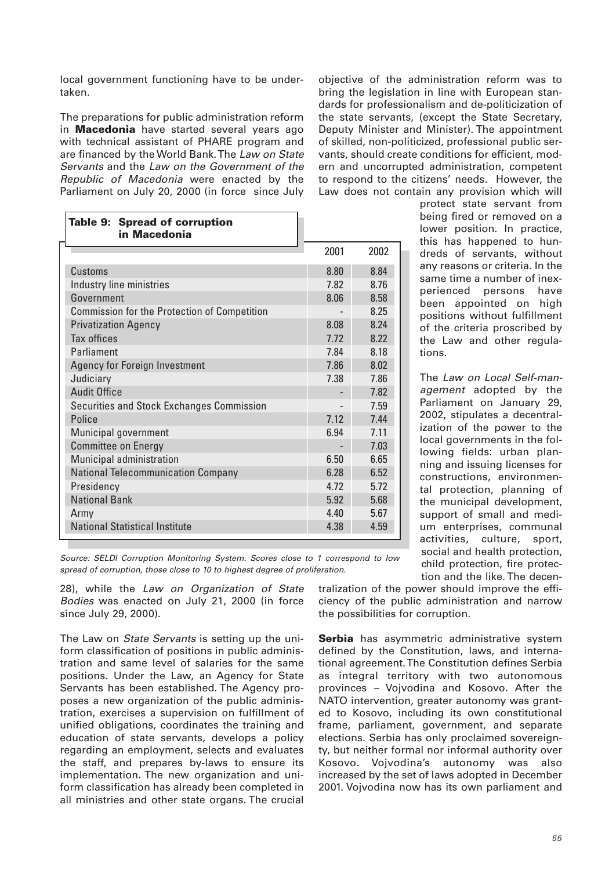local government functioning have to be undertaken.

The preparations for public administration reform in **Macedonia** have started several years ago with technical assistant of PHARE program and are financed by the World Bank. The Law on State Servants and the Law on the Government of the Republic of Macedonia were enacted by the Parliament on July 20, 2000 (in force since July

objective of the administration reform was to bring the legislation in line with European standards for professionalism and de-politicization of the state servants, (except the State Secretary, Deputy Minister and Minister). The appointment of skilled, non-politicized, professional public servants, should create conditions for efficient, modern and uncorrupted administration, competent to respond to the citizens' needs. However, the Law does not contain any provision which will

| Table 9: Spread of corruption<br>in Macedonia       |       |      |
|-----------------------------------------------------|-------|------|
|                                                     | 2001  | 2002 |
| Customs                                             | 8.80  | 8.84 |
| Industry line ministries                            | 7.82  | 8.76 |
| Government                                          | 8.06  | 8.58 |
| <b>Commission for the Protection of Competition</b> |       | 8.25 |
| <b>Privatization Agency</b>                         | 8.08  | 8.24 |
| Tax offices                                         | 7.72  | 8 22 |
| Parliament                                          | 784   | 8.18 |
| <b>Agency for Foreign Investment</b>                | 7.86  | 8.02 |
| Judiciary                                           | 7.38  | 7.86 |
| <b>Audit Office</b>                                 |       | 7.82 |
| Securities and Stock Exchanges Commission           |       | 7.59 |
| Police                                              | 7 1 2 | 744  |
| Municipal government                                | 6.94  | 7 11 |
| <b>Committee on Energy</b>                          |       | 7.03 |
| Municipal administration                            | 6.50  | 6.65 |
| <b>National Telecommunication Company</b>           | 6.28  | 6.52 |
| Presidency                                          | 4.72  | 5.72 |
| <b>National Bank</b>                                | 5.92  | 5.68 |
| Army                                                | 4.40  | 5.67 |
| <b>National Statistical Institute</b>               | 4.38  | 4.59 |

protect state servant from being fired or removed on a lower position. In practice, this has happened to hundreds of servants, without any reasons or criteria. In the same time a number of inexperienced persons have been appointed on high positions without fulfillment of the criteria proscribed by the Law and other regulations.

The Law on Local Self-management adopted by the Parliament on January 29, 2002, stipulates a decentralization of the power to the local governments in the following fields: urban planning and issuing licenses for constructions, environmental protection, planning of the municipal development, support of small and medium enterprises, communal activities, culture, sport, social and health protection, child protection, fire protection and the like. The decen-

Source: SELDI Corruption Monitoring System. Scores close to 1 correspond to low spread of corruption, those close to 10 to highest degree of proliferation.

28), while the Law on Organization of State Bodies was enacted on July 21, 2000 (in force since July 29, 2000).

The Law on *State Servants* is setting up the uniform classification of positions in public administration and same level of salaries for the same positions. Under the Law, an Agency for State Servants has been established. The Agency proposes a new organization of the public administration, exercises a supervision on fulfillment of unified obligations, coordinates the training and education of state servants, develops a policy regarding an employment, selects and evaluates the staff, and prepares by-laws to ensure its implementation. The new organization and uniform classification has already been completed in all ministries and other state organs. The crucial

tralization of the power should improve the efficiency of the public administration and narrow the possibilities for corruption.

**Serbia** has asymmetric administrative system defined by the Constitution, laws, and international agreement. The Constitution defines Serbia as integral territory with two autonomous provinces – Vojvodina and Kosovo. After the NATO intervention, greater autonomy was granted to Kosovo, including its own constitutional frame, parliament, government, and separate elections. Serbia has only proclaimed sovereignty, but neither formal nor informal authority over Kosovo. Vojvodina's autonomy was also increased by the set of laws adopted in December 2001. Vojvodina now has its own parliament and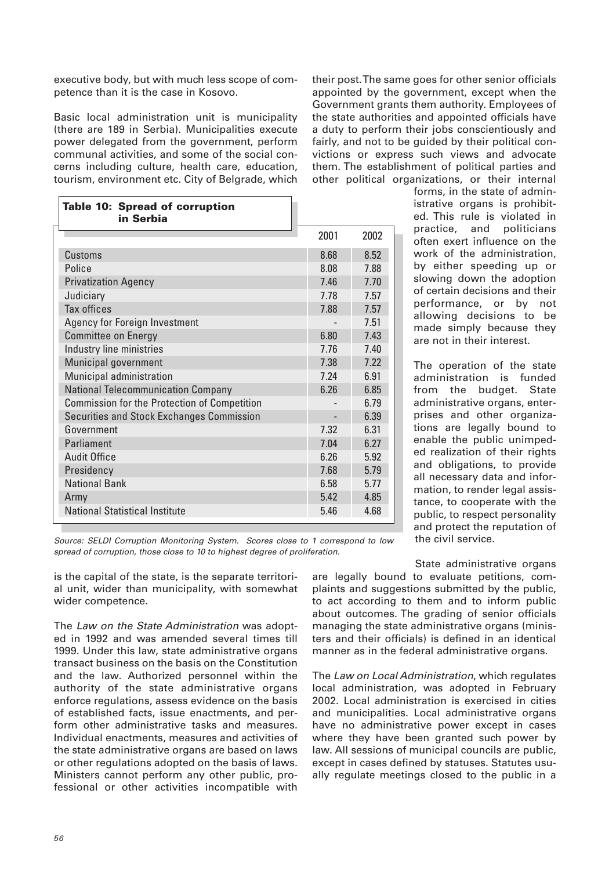executive body, but with much less scope of competence than it is the case in Kosovo.

Basic local administration unit is municipality (there are 189 in Serbia). Municipalities execute power delegated from the government, perform communal activities, and some of the social concerns including culture, health care, education, tourism, environment etc. City of Belgrade, which

their post. The same goes for other senior officials appointed by the government, except when the Government grants them authority. Employees of the state authorities and appointed officials have a duty to perform their jobs conscientiously and fairly, and not to be guided by their political convictions or express such views and advocate them. The establishment of political parties and other political organizations, or their internal

| <b>Table 10: Spread of corruption</b><br>in Serbia  |      |      |
|-----------------------------------------------------|------|------|
|                                                     | 2001 | 2002 |
| Customs                                             | 8.68 | 8.52 |
| Police                                              | 8.08 | 7.88 |
| <b>Privatization Agency</b>                         | 7.46 | 7.70 |
| Judiciary                                           | 7.78 | 7.57 |
| <b>Tax offices</b>                                  | 7.88 | 7.57 |
| Agency for Foreign Investment                       |      | 7.51 |
| <b>Committee on Energy</b>                          | 6.80 | 7.43 |
| Industry line ministries                            | 7.76 | 7.40 |
| Municipal government                                | 7.38 | 7.22 |
| Municipal administration                            | 7.24 | 6.91 |
| <b>National Telecommunication Company</b>           | 6.26 | 6.85 |
| <b>Commission for the Protection of Competition</b> |      | 6.79 |
| Securities and Stock Exchanges Commission           |      | 6.39 |
| Government                                          | 7.32 | 6.31 |
| Parliament                                          | 7.04 | 6.27 |
| <b>Audit Office</b>                                 | 6.26 | 5.92 |
| Presidency                                          | 7.68 | 5.79 |
| <b>National Bank</b>                                | 6.58 | 5.77 |
| Army                                                | 5.42 | 4.85 |
| <b>National Statistical Institute</b>               | 5.46 | 4.68 |

forms, in the state of administrative organs is prohibited. This rule is violated in practice, and politicians often exert influence on the work of the administration, by either speeding up or slowing down the adoption of certain decisions and their performance, or by not allowing decisions to be made simply because they are not in their interest.

The operation of the state administration is funded from the budget. State administrative organs, enterprises and other organizations are legally bound to enable the public unimpeded realization of their rights and obligations, to provide all necessary data and information, to render legal assistance, to cooperate with the public, to respect personality and protect the reputation of the civil service.

Source: SELDI Corruption Monitoring System. Scores close to 1 correspond to low spread of corruption, those close to 10 to highest degree of proliferation.

is the capital of the state, is the separate territorial unit, wider than municipality, with somewhat wider competence.

The Law on the State Administration was adopted in 1992 and was amended several times till 1999. Under this law, state administrative organs transact business on the basis on the Constitution and the law. Authorized personnel within the authority of the state administrative organs enforce regulations, assess evidence on the basis of established facts, issue enactments, and perform other administrative tasks and measures. Individual enactments, measures and activities of the state administrative organs are based on laws or other regulations adopted on the basis of laws. Ministers cannot perform any other public, professional or other activities incompatible with

State administrative organs are legally bound to evaluate petitions, complaints and suggestions submitted by the public, to act according to them and to inform public about outcomes. The grading of senior officials managing the state administrative organs (ministers and their officials) is defined in an identical manner as in the federal administrative organs.

The Law on Local Administration, which regulates local administration, was adopted in February 2002. Local administration is exercised in cities and municipalities. Local administrative organs have no administrative power except in cases where they have been granted such power by law. All sessions of municipal councils are public, except in cases defined by statuses. Statutes usually regulate meetings closed to the public in a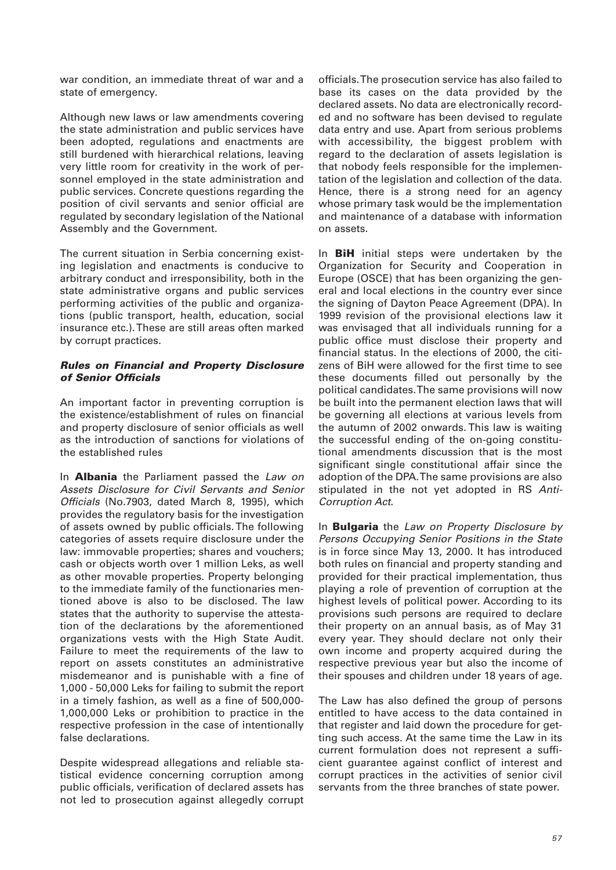war condition, an immediate threat of war and a state of emergency.

Although new laws or law amendments covering the state administration and public services have been adopted, regulations and enactments are still burdened with hierarchical relations, leaving very little room for creativity in the work of personnel employed in the state administration and public services. Concrete questions regarding the position of civil servants and senior official are regulated by secondary legislation of the National Assembly and the Government.

The current situation in Serbia concerning existing legislation and enactments is conducive to arbitrary conduct and irresponsibility, both in the state administrative organs and public services performing activities of the public and organizations (public transport, health, education, social insurance etc.). These are still areas often marked by corrupt practices.

## *Rules on Financial and Property Disclosure of Senior Officials*

An important factor in preventing corruption is the existence/establishment of rules on financial and property disclosure of senior officials as well as the introduction of sanctions for violations of the established rules

In **Albania** the Parliament passed the Law on Assets Disclosure for Civil Servants and Senior Officials (No.7903, dated March 8, 1995), which provides the regulatory basis for the investigation of assets owned by public officials. The following categories of assets require disclosure under the law: immovable properties; shares and vouchers; cash or objects worth over 1 million Leks, as well as other movable properties. Property belonging to the immediate family of the functionaries mentioned above is also to be disclosed. The law states that the authority to supervise the attestation of the declarations by the aforementioned organizations vests with the High State Audit. Failure to meet the requirements of the law to report on assets constitutes an administrative misdemeanor and is punishable with a fine of 1,000 - 50,000 Leks for failing to submit the report in a timely fashion, as well as a fine of 500,000- 1,000,000 Leks or prohibition to practice in the respective profession in the case of intentionally false declarations.

Despite widespread allegations and reliable statistical evidence concerning corruption among public officials, verification of declared assets has not led to prosecution against allegedly corrupt officials. The prosecution service has also failed to base its cases on the data provided by the declared assets. No data are electronically recorded and no software has been devised to regulate data entry and use. Apart from serious problems with accessibility, the biggest problem with regard to the declaration of assets legislation is that nobody feels responsible for the implementation of the legislation and collection of the data. Hence, there is a strong need for an agency whose primary task would be the implementation and maintenance of a database with information on assets.

In **BiH** initial steps were undertaken by the Organization for Security and Cooperation in Europe (OSCE) that has been organizing the general and local elections in the country ever since the signing of Dayton Peace Agreement (DPA). In 1999 revision of the provisional elections law it was envisaged that all individuals running for a public office must disclose their property and financial status. In the elections of 2000, the citizens of BiH were allowed for the first time to see these documents filled out personally by the political candidates. The same provisions will now be built into the permanent election laws that will be governing all elections at various levels from the autumn of 2002 onwards. This law is waiting the successful ending of the on-going constitutional amendments discussion that is the most significant single constitutional affair since the adoption of the DPA. The same provisions are also stipulated in the not yet adopted in RS Anti-Corruption Act.

In **Bulgaria** the Law on Property Disclosure by Persons Occupying Senior Positions in the State is in force since May 13, 2000. It has introduced both rules on financial and property standing and provided for their practical implementation, thus playing a role of prevention of corruption at the highest levels of political power. According to its provisions such persons are required to declare their property on an annual basis, as of May 31 every year. They should declare not only their own income and property acquired during the respective previous year but also the income of their spouses and children under 18 years of age.

The Law has also defined the group of persons entitled to have access to the data contained in that register and laid down the procedure for getting such access. At the same time the Law in its current formulation does not represent a sufficient guarantee against conflict of interest and corrupt practices in the activities of senior civil servants from the three branches of state power.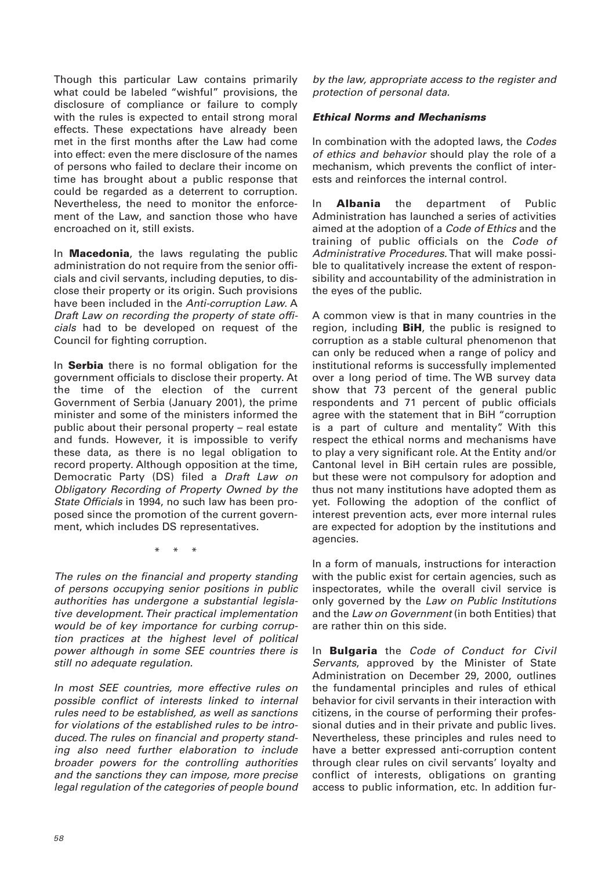Though this particular Law contains primarily what could be labeled "wishful" provisions, the disclosure of compliance or failure to comply with the rules is expected to entail strong moral effects. These expectations have already been met in the first months after the Law had come into effect: even the mere disclosure of the names of persons who failed to declare their income on time has brought about a public response that could be regarded as a deterrent to corruption. Nevertheless, the need to monitor the enforcement of the Law, and sanction those who have encroached on it, still exists.

In **Macedonia**, the laws regulating the public administration do not require from the senior officials and civil servants, including deputies, to disclose their property or its origin. Such provisions have been included in the Anti-corruption Law. A Draft Law on recording the property of state officials had to be developed on request of the Council for fighting corruption.

In **Serbia** there is no formal obligation for the government officials to disclose their property. At the time of the election of the current Government of Serbia (January 2001), the prime minister and some of the ministers informed the public about their personal property – real estate and funds. However, it is impossible to verify these data, as there is no legal obligation to record property. Although opposition at the time, Democratic Party (DS) filed a Draft Law on Obligatory Recording of Property Owned by the State Officials in 1994, no such law has been proposed since the promotion of the current government, which includes DS representatives.

\* \* \*

The rules on the financial and property standing of persons occupying senior positions in public authorities has undergone a substantial legislative development. Their practical implementation would be of key importance for curbing corruption practices at the highest level of political power although in some SEE countries there is still no adequate regulation.

In most SEE countries, more effective rules on possible conflict of interests linked to internal rules need to be established, as well as sanctions for violations of the established rules to be introduced. The rules on financial and property standing also need further elaboration to include broader powers for the controlling authorities and the sanctions they can impose, more precise legal regulation of the categories of people bound

by the law, appropriate access to the register and protection of personal data.

## *Ethical Norms and Mechanisms*

In combination with the adopted laws, the Codes of ethics and behavior should play the role of a mechanism, which prevents the conflict of interests and reinforces the internal control.

In **Albania** the department of Public Administration has launched a series of activities aimed at the adoption of a Code of Ethics and the training of public officials on the Code of Administrative Procedures. That will make possible to qualitatively increase the extent of responsibility and accountability of the administration in the eyes of the public.

A common view is that in many countries in the region, including **BiH**, the public is resigned to corruption as a stable cultural phenomenon that can only be reduced when a range of policy and institutional reforms is successfully implemented over a long period of time. The WB survey data show that 73 percent of the general public respondents and 71 percent of public officials agree with the statement that in BiH "corruption is a part of culture and mentality". With this respect the ethical norms and mechanisms have to play a very significant role. At the Entity and/or Cantonal level in BiH certain rules are possible, but these were not compulsory for adoption and thus not many institutions have adopted them as yet. Following the adoption of the conflict of interest prevention acts, ever more internal rules are expected for adoption by the institutions and agencies.

In a form of manuals, instructions for interaction with the public exist for certain agencies, such as inspectorates, while the overall civil service is only governed by the Law on Public Institutions and the Law on Government (in both Entities) that are rather thin on this side.

In **Bulgaria** the Code of Conduct for Civil Servants, approved by the Minister of State Administration on December 29, 2000, outlines the fundamental principles and rules of ethical behavior for civil servants in their interaction with citizens, in the course of performing their professional duties and in their private and public lives. Nevertheless, these principles and rules need to have a better expressed anti-corruption content through clear rules on civil servants' loyalty and conflict of interests, obligations on granting access to public information, etc. In addition fur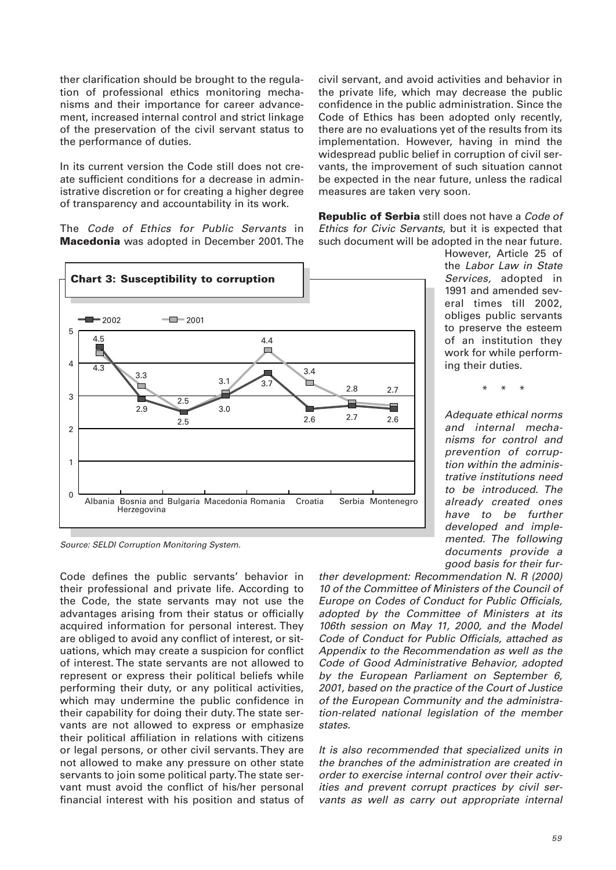ther clarification should be brought to the regulation of professional ethics monitoring mechanisms and their importance for career advancement, increased internal control and strict linkage of the preservation of the civil servant status to the performance of duties.

In its current version the Code still does not create sufficient conditions for a decrease in administrative discretion or for creating a higher degree of transparency and accountability in its work.

The Code of Ethics for Public Servants in **Macedonia** was adopted in December 2001. The



Source: SELDI Corruption Monitoring System.

Code defines the public servants' behavior in their professional and private life. According to the Code, the state servants may not use the advantages arising from their status or officially acquired information for personal interest. They are obliged to avoid any conflict of interest, or situations, which may create a suspicion for conflict of interest. The state servants are not allowed to represent or express their political beliefs while performing their duty, or any political activities, which may undermine the public confidence in their capability for doing their duty. The state servants are not allowed to express or emphasize their political affiliation in relations with citizens or legal persons, or other civil servants. They are not allowed to make any pressure on other state servants to join some political party. The state servant must avoid the conflict of his/her personal financial interest with his position and status of civil servant, and avoid activities and behavior in the private life, which may decrease the public confidence in the public administration. Since the Code of Ethics has been adopted only recently, there are no evaluations yet of the results from its implementation. However, having in mind the widespread public belief in corruption of civil servants, the improvement of such situation cannot be expected in the near future, unless the radical measures are taken very soon.

**Republic of Serbia** still does not have a Code of Ethics for Civic Servants, but it is expected that such document will be adopted in the near future.

> However, Article 25 of the Labor Law in State Services, adopted in 1991 and amended several times till 2002, obliges public servants to preserve the esteem of an institution they work for while performing their duties.

> > \* \* \*

Adequate ethical norms and internal mechanisms for control and prevention of corruption within the administrative institutions need to be introduced. The already created ones have to be further developed and implemented. The following documents provide a good basis for their fur-

ther development: Recommendation N. R (2000) 10 of the Committee of Ministers of the Council of Europe on Codes of Conduct for Public Officials, adopted by the Committee of Ministers at its 106th session on May 11, 2000, and the Model Code of Conduct for Public Officials, attached as Appendix to the Recommendation as well as the Code of Good Administrative Behavior, adopted by the European Parliament on September 6, 2001, based on the practice of the Court of Justice of the European Community and the administration-related national legislation of the member states.

It is also recommended that specialized units in the branches of the administration are created in order to exercise internal control over their activities and prevent corrupt practices by civil servants as well as carry out appropriate internal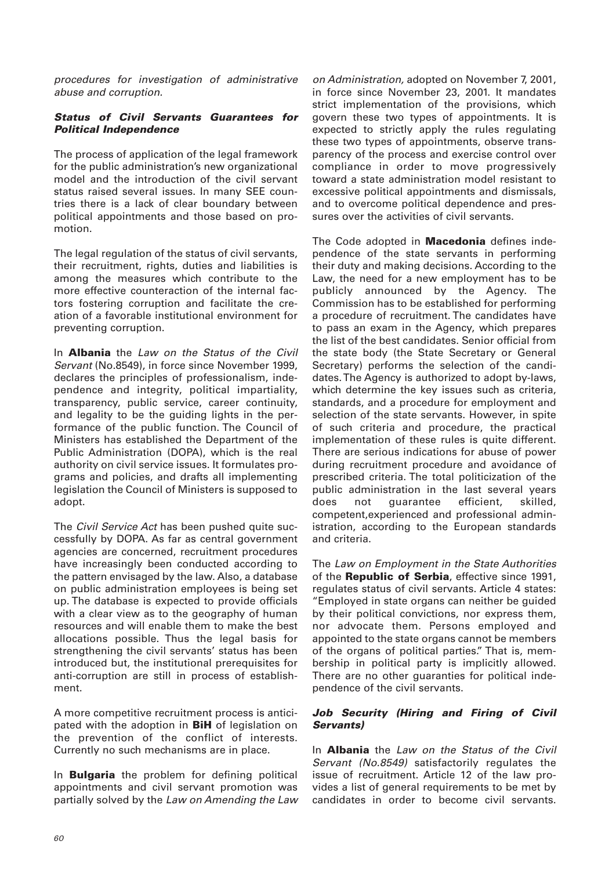procedures for investigation of administrative abuse and corruption.

## *Status of Civil Servants Guarantees for Political Independence*

The process of application of the legal framework for the public administration's new organizational model and the introduction of the civil servant status raised several issues. In many SEE countries there is a lack of clear boundary between political appointments and those based on promotion.

The legal regulation of the status of civil servants, their recruitment, rights, duties and liabilities is among the measures which contribute to the more effective counteraction of the internal factors fostering corruption and facilitate the creation of a favorable institutional environment for preventing corruption.

In **Albania** the Law on the Status of the Civil Servant (No.8549), in force since November 1999, declares the principles of professionalism, independence and integrity, political impartiality, transparency, public service, career continuity, and legality to be the guiding lights in the performance of the public function. The Council of Ministers has established the Department of the Public Administration (DOPA), which is the real authority on civil service issues. It formulates programs and policies, and drafts all implementing legislation the Council of Ministers is supposed to adopt.

The Civil Service Act has been pushed quite successfully by DOPA. As far as central government agencies are concerned, recruitment procedures have increasingly been conducted according to the pattern envisaged by the law. Also, a database on public administration employees is being set up. The database is expected to provide officials with a clear view as to the geography of human resources and will enable them to make the best allocations possible. Thus the legal basis for strengthening the civil servants' status has been introduced but, the institutional prerequisites for anti-corruption are still in process of establishment.

A more competitive recruitment process is anticipated with the adoption in **BiH** of legislation on the prevention of the conflict of interests. Currently no such mechanisms are in place.

In **Bulgaria** the problem for defining political appointments and civil servant promotion was partially solved by the Law on Amending the Law

on Administration, adopted on November 7, 2001, in force since November 23, 2001. It mandates strict implementation of the provisions, which govern these two types of appointments. It is expected to strictly apply the rules regulating these two types of appointments, observe transparency of the process and exercise control over compliance in order to move progressively toward a state administration model resistant to excessive political appointments and dismissals, and to overcome political dependence and pressures over the activities of civil servants.

The Code adopted in **Macedonia** defines independence of the state servants in performing their duty and making decisions. According to the Law, the need for a new employment has to be publicly announced by the Agency. The Commission has to be established for performing a procedure of recruitment. The candidates have to pass an exam in the Agency, which prepares the list of the best candidates. Senior official from the state body (the State Secretary or General Secretary) performs the selection of the candidates. The Agency is authorized to adopt by-laws, which determine the key issues such as criteria, standards, and a procedure for employment and selection of the state servants. However, in spite of such criteria and procedure, the practical implementation of these rules is quite different. There are serious indications for abuse of power during recruitment procedure and avoidance of prescribed criteria. The total politicization of the public administration in the last several years does not guarantee efficient, skilled, competent,experienced and professional administration, according to the European standards and criteria.

The Law on Employment in the State Authorities of the **Republic of Serbia**, effective since 1991, regulates status of civil servants. Article 4 states: "Employed in state organs can neither be guided by their political convictions, nor express them, nor advocate them. Persons employed and appointed to the state organs cannot be members of the organs of political parties." That is, membership in political party is implicitly allowed. There are no other guaranties for political independence of the civil servants.

#### *Job Security (Hiring and Firing of Civil Servants)*

In **Albania** the Law on the Status of the Civil Servant (No.8549) satisfactorily regulates the issue of recruitment. Article 12 of the law provides a list of general requirements to be met by candidates in order to become civil servants.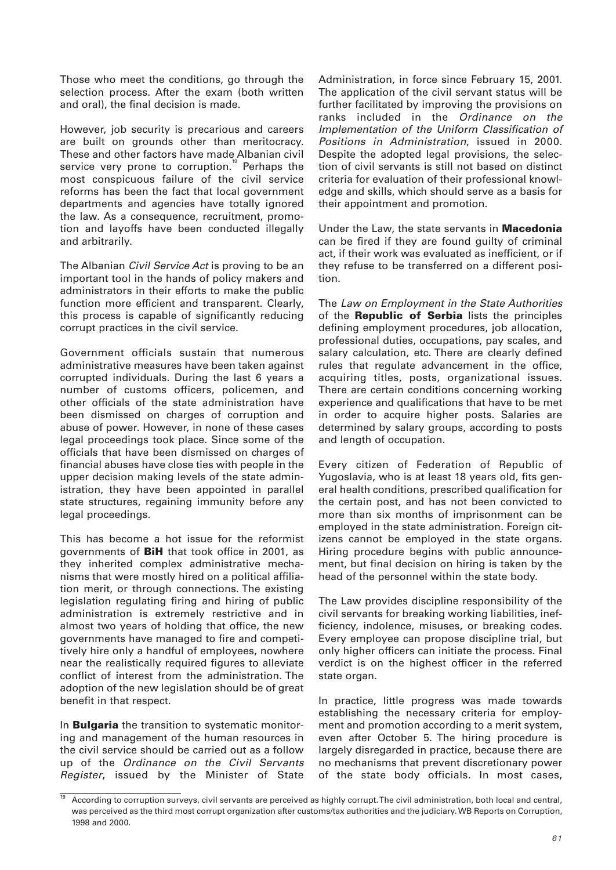Those who meet the conditions, go through the selection process. After the exam (both written and oral), the final decision is made.

However, job security is precarious and careers are built on grounds other than meritocracy. These and other factors have made Albanian civil service very prone to corruption.<sup>"</sup> Perhaps the most conspicuous failure of the civil service reforms has been the fact that local government departments and agencies have totally ignored the law. As a consequence, recruitment, promotion and layoffs have been conducted illegally and arbitrarily.

The Albanian *Civil Service Act* is proving to be an important tool in the hands of policy makers and administrators in their efforts to make the public function more efficient and transparent. Clearly, this process is capable of significantly reducing corrupt practices in the civil service.

Government officials sustain that numerous administrative measures have been taken against corrupted individuals. During the last 6 years a number of customs officers, policemen, and other officials of the state administration have been dismissed on charges of corruption and abuse of power. However, in none of these cases legal proceedings took place. Since some of the officials that have been dismissed on charges of financial abuses have close ties with people in the upper decision making levels of the state administration, they have been appointed in parallel state structures, regaining immunity before any legal proceedings.

This has become a hot issue for the reformist governments of **BiH** that took office in 2001, as they inherited complex administrative mechanisms that were mostly hired on a political affiliation merit, or through connections. The existing legislation regulating firing and hiring of public administration is extremely restrictive and in almost two years of holding that office, the new governments have managed to fire and competitively hire only a handful of employees, nowhere near the realistically required figures to alleviate conflict of interest from the administration. The adoption of the new legislation should be of great benefit in that respect.

In **Bulgaria** the transition to systematic monitoring and management of the human resources in the civil service should be carried out as a follow up of the Ordinance on the Civil Servants Register, issued by the Minister of State

Administration, in force since February 15, 2001. The application of the civil servant status will be further facilitated by improving the provisions on ranks included in the Ordinance on the Implementation of the Uniform Classification of Positions in Administration, issued in 2000. Despite the adopted legal provisions, the selection of civil servants is still not based on distinct criteria for evaluation of their professional knowledge and skills, which should serve as a basis for their appointment and promotion.

Under the Law, the state servants in **Macedonia** can be fired if they are found guilty of criminal act, if their work was evaluated as inefficient, or if they refuse to be transferred on a different position.

The Law on Employment in the State Authorities of the **Republic of Serbia** lists the principles defining employment procedures, job allocation, professional duties, occupations, pay scales, and salary calculation, etc. There are clearly defined rules that regulate advancement in the office, acquiring titles, posts, organizational issues. There are certain conditions concerning working experience and qualifications that have to be met in order to acquire higher posts. Salaries are determined by salary groups, according to posts and length of occupation.

Every citizen of Federation of Republic of Yugoslavia, who is at least 18 years old, fits general health conditions, prescribed qualification for the certain post, and has not been convicted to more than six months of imprisonment can be employed in the state administration. Foreign citizens cannot be employed in the state organs. Hiring procedure begins with public announcement, but final decision on hiring is taken by the head of the personnel within the state body.

The Law provides discipline responsibility of the civil servants for breaking working liabilities, inefficiency, indolence, misuses, or breaking codes. Every employee can propose discipline trial, but only higher officers can initiate the process. Final verdict is on the highest officer in the referred state organ.

In practice, little progress was made towards establishing the necessary criteria for employment and promotion according to a merit system, even after October 5. The hiring procedure is largely disregarded in practice, because there are no mechanisms that prevent discretionary power of the state body officials. In most cases,

<sup>19</sup> According to corruption surveys, civil servants are perceived as highly corrupt. The civil administration, both local and central, was perceived as the third most corrupt organization after customs/tax authorities and the judiciary. WB Reports on Corruption, 1998 and 2000.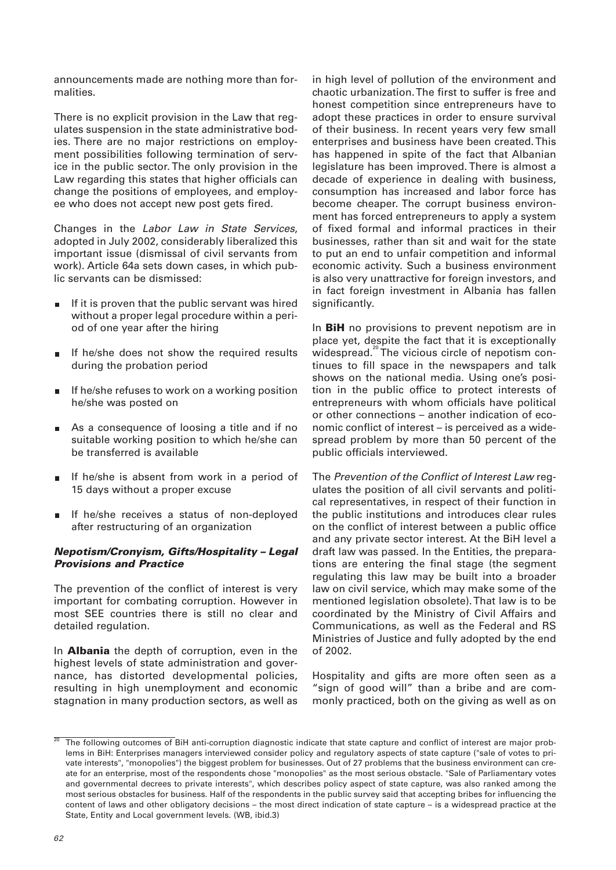announcements made are nothing more than formalities.

There is no explicit provision in the Law that regulates suspension in the state administrative bodies. There are no major restrictions on employment possibilities following termination of service in the public sector. The only provision in the Law regarding this states that higher officials can change the positions of employees, and employee who does not accept new post gets fired.

Changes in the Labor Law in State Services, adopted in July 2002, considerably liberalized this important issue (dismissal of civil servants from work). Article 64a sets down cases, in which public servants can be dismissed:

- If it is proven that the public servant was hired without a proper legal procedure within a period of one year after the hiring
- If he/she does not show the required results during the probation period
- If he/she refuses to work on a working position  $\blacksquare$ he/she was posted on
- As a consequence of loosing a title and if no suitable working position to which he/she can be transferred is available
- If he/she is absent from work in a period of 15 days without a proper excuse
- If he/she receives a status of non-deployed  $\blacksquare$ after restructuring of an organization

#### *Nepotism/Cronyism, Gifts/Hospitality – Legal Provisions and Practice*

The prevention of the conflict of interest is very important for combating corruption. However in most SEE countries there is still no clear and detailed regulation.

In **Albania** the depth of corruption, even in the highest levels of state administration and governance, has distorted developmental policies, resulting in high unemployment and economic stagnation in many production sectors, as well as

in high level of pollution of the environment and chaotic urbanization. The first to suffer is free and honest competition since entrepreneurs have to adopt these practices in order to ensure survival of their business. In recent years very few small enterprises and business have been created. This has happened in spite of the fact that Albanian legislature has been improved. There is almost a decade of experience in dealing with business, consumption has increased and labor force has become cheaper. The corrupt business environment has forced entrepreneurs to apply a system of fixed formal and informal practices in their businesses, rather than sit and wait for the state to put an end to unfair competition and informal economic activity. Such a business environment is also very unattractive for foreign investors, and in fact foreign investment in Albania has fallen significantly.

In **BiH** no provisions to prevent nepotism are in place yet, despite the fact that it is exceptionally widespread.<sup>20</sup> The vicious circle of nepotism continues to fill space in the newspapers and talk shows on the national media. Using one's position in the public office to protect interests of entrepreneurs with whom officials have political or other connections – another indication of economic conflict of interest – is perceived as a widespread problem by more than 50 percent of the public officials interviewed.

The Prevention of the Conflict of Interest Law regulates the position of all civil servants and political representatives, in respect of their function in the public institutions and introduces clear rules on the conflict of interest between a public office and any private sector interest. At the BiH level a draft law was passed. In the Entities, the preparations are entering the final stage (the segment regulating this law may be built into a broader law on civil service, which may make some of the mentioned legislation obsolete). That law is to be coordinated by the Ministry of Civil Affairs and Communications, as well as the Federal and RS Ministries of Justice and fully adopted by the end of 2002.

Hospitality and gifts are more often seen as a "sign of good will" than a bribe and are commonly practiced, both on the giving as well as on

 $20$  The following outcomes of BiH anti-corruption diagnostic indicate that state capture and conflict of interest are major problems in BiH: Enterprises managers interviewed consider policy and regulatory aspects of state capture ("sale of votes to private interests", "monopolies") the biggest problem for businesses. Out of 27 problems that the business environment can create for an enterprise, most of the respondents chose "monopolies" as the most serious obstacle. "Sale of Parliamentary votes and governmental decrees to private interests", which describes policy aspect of state capture, was also ranked among the most serious obstacles for business. Half of the respondents in the public survey said that accepting bribes for influencing the content of laws and other obligatory decisions – the most direct indication of state capture – is a widespread practice at the State, Entity and Local government levels. (WB, ibid.3)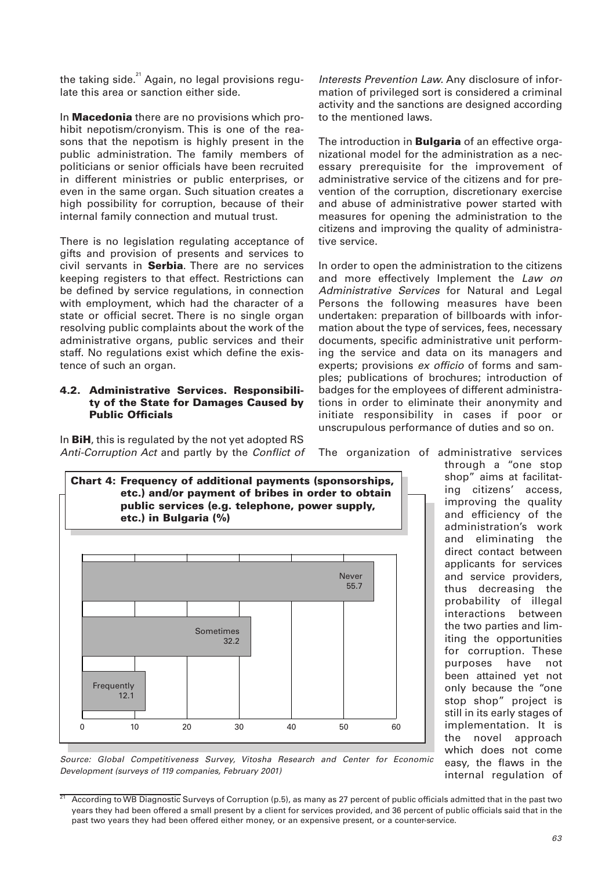the taking side. $21$  Again, no legal provisions regulate this area or sanction either side.

In **Macedonia** there are no provisions which prohibit nepotism/cronyism. This is one of the reasons that the nepotism is highly present in the public administration. The family members of politicians or senior officials have been recruited in different ministries or public enterprises, or even in the same organ. Such situation creates a high possibility for corruption, because of their internal family connection and mutual trust.

There is no legislation regulating acceptance of gifts and provision of presents and services to civil servants in **Serbia**. There are no services keeping registers to that effect. Restrictions can be defined by service regulations, in connection with employment, which had the character of a state or official secret. There is no single organ resolving public complaints about the work of the administrative organs, public services and their staff. No regulations exist which define the existence of such an organ.

## **4.2. Administrative Services. Responsibility of the State for Damages Caused by Public Officials**

In **BiH**, this is regulated by the not yet adopted RS Anti-Corruption Act and partly by the Conflict of



The introduction in **Bulgaria** of an effective organizational model for the administration as a necessary prerequisite for the improvement of administrative service of the citizens and for prevention of the corruption, discretionary exercise and abuse of administrative power started with measures for opening the administration to the citizens and improving the quality of administrative service.

In order to open the administration to the citizens and more effectively Implement the Law on Administrative Services for Natural and Legal Persons the following measures have been undertaken: preparation of billboards with information about the type of services, fees, necessary documents, specific administrative unit performing the service and data on its managers and experts; provisions ex officio of forms and samples; publications of brochures; introduction of badges for the employees of different administrations in order to eliminate their anonymity and initiate responsibility in cases if poor or unscrupulous performance of duties and so on.

The organization of administrative services



shop" aims at facilitating citizens' access, improving the quality and efficiency of the administration's work and eliminating the direct contact between applicants for services and service providers, thus decreasing the probability of illegal interactions between the two parties and limiting the opportunities for corruption. These purposes have not been attained yet not only because the "one stop shop" project is still in its early stages of implementation. It is the novel approach which does not come easy, the flaws in the internal regulation of

through a "one stop

Source: Global Competitiveness Survey, Vitosha Research and Center for Economic Development (surveys of 119 companies, February 2001)

 $21$  According to WB Diagnostic Surveys of Corruption (p.5), as many as 27 percent of public officials admitted that in the past two years they had been offered a small present by a client for services provided, and 36 percent of public officials said that in the past two years they had been offered either money, or an expensive present, or a counter-service.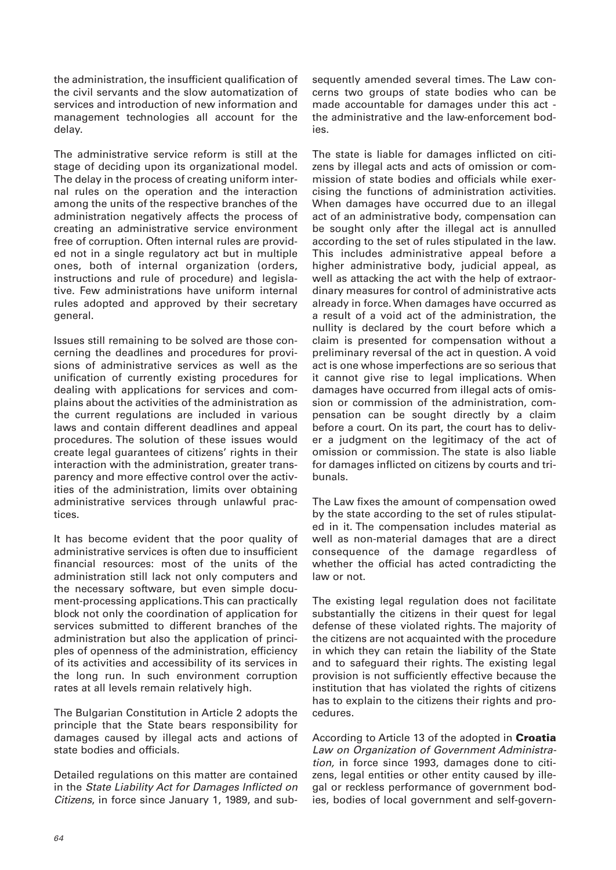the administration, the insufficient qualification of the civil servants and the slow automatization of services and introduction of new information and management technologies all account for the delay.

The administrative service reform is still at the stage of deciding upon its organizational model. The delay in the process of creating uniform internal rules on the operation and the interaction among the units of the respective branches of the administration negatively affects the process of creating an administrative service environment free of corruption. Often internal rules are provided not in a single regulatory act but in multiple ones, both of internal organization (orders, instructions and rule of procedure) and legislative. Few administrations have uniform internal rules adopted and approved by their secretary general.

Issues still remaining to be solved are those concerning the deadlines and procedures for provisions of administrative services as well as the unification of currently existing procedures for dealing with applications for services and complains about the activities of the administration as the current regulations are included in various laws and contain different deadlines and appeal procedures. The solution of these issues would create legal guarantees of citizens' rights in their interaction with the administration, greater transparency and more effective control over the activities of the administration, limits over obtaining administrative services through unlawful practices.

It has become evident that the poor quality of administrative services is often due to insufficient financial resources: most of the units of the administration still lack not only computers and the necessary software, but even simple document-processing applications. This can practically block not only the coordination of application for services submitted to different branches of the administration but also the application of principles of openness of the administration, efficiency of its activities and accessibility of its services in the long run. In such environment corruption rates at all levels remain relatively high.

The Bulgarian Constitution in Article 2 adopts the principle that the State bears responsibility for damages caused by illegal acts and actions of state bodies and officials.

Detailed regulations on this matter are contained in the State Liability Act for Damages Inflicted on Citizens, in force since January 1, 1989, and subsequently amended several times. The Law concerns two groups of state bodies who can be made accountable for damages under this act the administrative and the law-enforcement bodies.

The state is liable for damages inflicted on citizens by illegal acts and acts of omission or commission of state bodies and officials while exercising the functions of administration activities. When damages have occurred due to an illegal act of an administrative body, compensation can be sought only after the illegal act is annulled according to the set of rules stipulated in the law. This includes administrative appeal before a higher administrative body, judicial appeal, as well as attacking the act with the help of extraordinary measures for control of administrative acts already in force. When damages have occurred as a result of a void act of the administration, the nullity is declared by the court before which a claim is presented for compensation without a preliminary reversal of the act in question. A void act is one whose imperfections are so serious that it cannot give rise to legal implications. When damages have occurred from illegal acts of omission or commission of the administration, compensation can be sought directly by a claim before a court. On its part, the court has to deliver a judgment on the legitimacy of the act of omission or commission. The state is also liable for damages inflicted on citizens by courts and tribunals.

The Law fixes the amount of compensation owed by the state according to the set of rules stipulated in it. The compensation includes material as well as non-material damages that are a direct consequence of the damage regardless of whether the official has acted contradicting the law or not.

The existing legal regulation does not facilitate substantially the citizens in their quest for legal defense of these violated rights. The majority of the citizens are not acquainted with the procedure in which they can retain the liability of the State and to safeguard their rights. The existing legal provision is not sufficiently effective because the institution that has violated the rights of citizens has to explain to the citizens their rights and procedures.

According to Article 13 of the adopted in **Croatia** Law on Organization of Government Administration, in force since 1993, damages done to citizens, legal entities or other entity caused by illegal or reckless performance of government bodies, bodies of local government and self-govern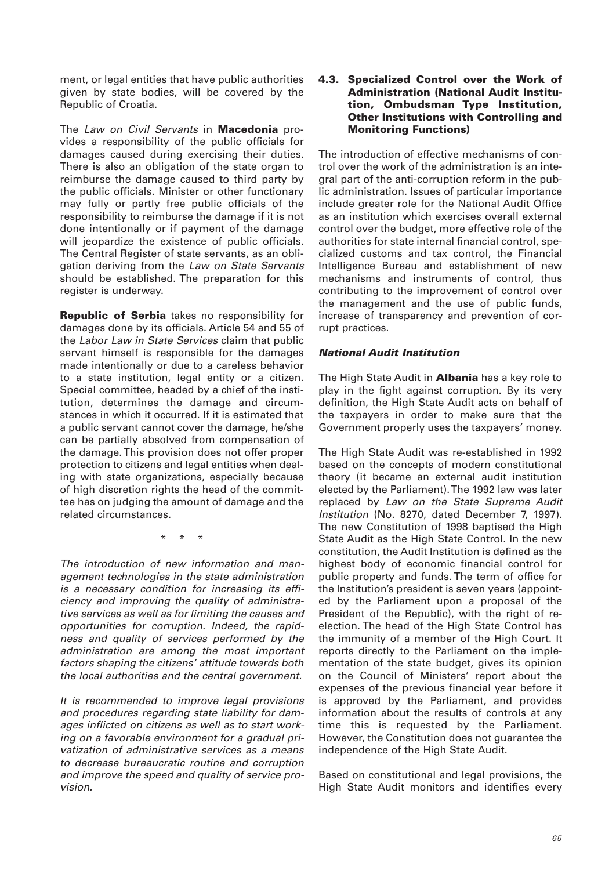ment, or legal entities that have public authorities given by state bodies, will be covered by the Republic of Croatia.

The Law on Civil Servants in **Macedonia** provides a responsibility of the public officials for damages caused during exercising their duties. There is also an obligation of the state organ to reimburse the damage caused to third party by the public officials. Minister or other functionary may fully or partly free public officials of the responsibility to reimburse the damage if it is not done intentionally or if payment of the damage will jeopardize the existence of public officials. The Central Register of state servants, as an obligation deriving from the Law on State Servants should be established. The preparation for this register is underway.

**Republic of Serbia** takes no responsibility for damages done by its officials. Article 54 and 55 of the Labor Law in State Services claim that public servant himself is responsible for the damages made intentionally or due to a careless behavior to a state institution, legal entity or a citizen. Special committee, headed by a chief of the institution, determines the damage and circumstances in which it occurred. If it is estimated that a public servant cannot cover the damage, he/she can be partially absolved from compensation of the damage. This provision does not offer proper protection to citizens and legal entities when dealing with state organizations, especially because of high discretion rights the head of the committee has on judging the amount of damage and the related circumstances.

\* \* \*

The introduction of new information and management technologies in the state administration is a necessary condition for increasing its efficiency and improving the quality of administrative services as well as for limiting the causes and opportunities for corruption. Indeed, the rapidness and quality of services performed by the administration are among the most important factors shaping the citizens' attitude towards both the local authorities and the central government.

It is recommended to improve legal provisions and procedures regarding state liability for damages inflicted on citizens as well as to start working on a favorable environment for a gradual privatization of administrative services as a means to decrease bureaucratic routine and corruption and improve the speed and quality of service provision.

#### **4.3. Specialized Control over the Work of Administration (National Audit Institution, Ombudsman Type Institution, Other Institutions with Controlling and Monitoring Functions)**

The introduction of effective mechanisms of control over the work of the administration is an integral part of the anti-corruption reform in the public administration. Issues of particular importance include greater role for the National Audit Office as an institution which exercises overall external control over the budget, more effective role of the authorities for state internal financial control, specialized customs and tax control, the Financial Intelligence Bureau and establishment of new mechanisms and instruments of control, thus contributing to the improvement of control over the management and the use of public funds, increase of transparency and prevention of corrupt practices.

## *National Audit Institution*

The High State Audit in **Albania** has a key role to play in the fight against corruption. By its very definition, the High State Audit acts on behalf of the taxpayers in order to make sure that the Government properly uses the taxpayers' money.

The High State Audit was re-established in 1992 based on the concepts of modern constitutional theory (it became an external audit institution elected by the Parliament). The 1992 law was later replaced by Law on the State Supreme Audit Institution (No. 8270, dated December 7, 1997). The new Constitution of 1998 baptised the High State Audit as the High State Control. In the new constitution, the Audit Institution is defined as the highest body of economic financial control for public property and funds. The term of office for the Institution's president is seven years (appointed by the Parliament upon a proposal of the President of the Republic), with the right of reelection. The head of the High State Control has the immunity of a member of the High Court. It reports directly to the Parliament on the implementation of the state budget, gives its opinion on the Council of Ministers' report about the expenses of the previous financial year before it is approved by the Parliament, and provides information about the results of controls at any time this is requested by the Parliament. However, the Constitution does not guarantee the independence of the High State Audit.

Based on constitutional and legal provisions, the High State Audit monitors and identifies every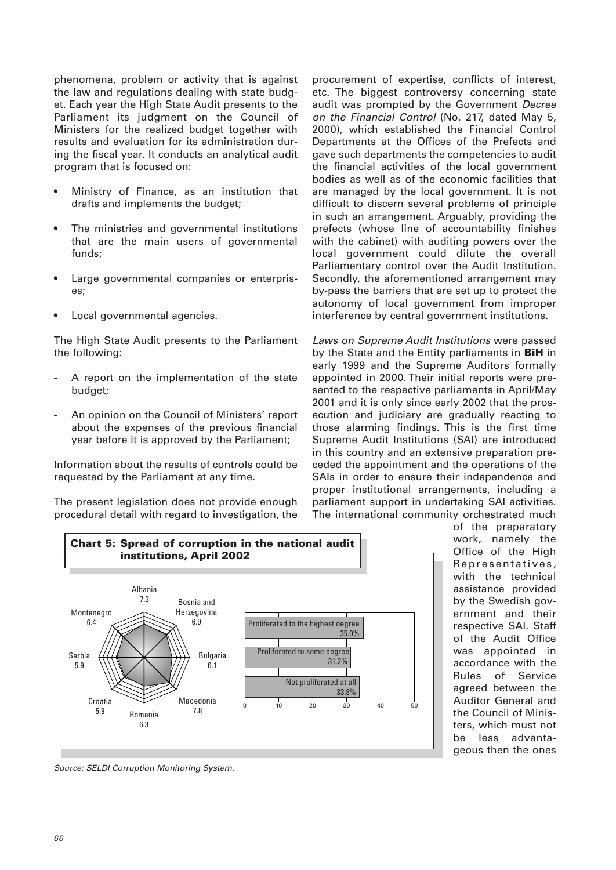phenomena, problem or activity that is against the law and regulations dealing with state budget. Each year the High State Audit presents to the Parliament its judgment on the Council of Ministers for the realized budget together with results and evaluation for its administration during the fiscal year. It conducts an analytical audit program that is focused on:

- Ministry of Finance, as an institution that drafts and implements the budget;
- The ministries and governmental institutions that are the main users of governmental funds;
- Large governmental companies or enterprises;
- Local governmental agencies.

The High State Audit presents to the Parliament the following:

- **-** A report on the implementation of the state budget;
- **-** An opinion on the Council of Ministers' report about the expenses of the previous financial year before it is approved by the Parliament;

Information about the results of controls could be requested by the Parliament at any time.

The present legislation does not provide enough procedural detail with regard to investigation, the procurement of expertise, conflicts of interest, etc. The biggest controversy concerning state audit was prompted by the Government Decree on the Financial Control (No. 217, dated May 5, 2000), which established the Financial Control Departments at the Offices of the Prefects and gave such departments the competencies to audit the financial activities of the local government bodies as well as of the economic facilities that are managed by the local government. It is not difficult to discern several problems of principle in such an arrangement. Arguably, providing the prefects (whose line of accountability finishes with the cabinet) with auditing powers over the local government could dilute the overall Parliamentary control over the Audit Institution. Secondly, the aforementioned arrangement may by-pass the barriers that are set up to protect the autonomy of local government from improper interference by central government institutions.

Laws on Supreme Audit Institutions were passed by the State and the Entity parliaments in **BiH** in early 1999 and the Supreme Auditors formally appointed in 2000. Their initial reports were presented to the respective parliaments in April/May 2001 and it is only since early 2002 that the prosecution and judiciary are gradually reacting to those alarming findings. This is the first time Supreme Audit Institutions (SAI) are introduced in this country and an extensive preparation preceded the appointment and the operations of the SAIs in order to ensure their independence and proper institutional arrangements, including a parliament support in undertaking SAI activities. The international community orchestrated much



of the preparatory work, namely the Office of the High Representatives, with the technical assistance provided by the Swedish government and their respective SAI. Staff of the Audit Office was appointed in accordance with the Rules of Service agreed between the Auditor General and the Council of Ministers, which must not be less advantageous then the ones

Source: SELDI Corruption Monitoring System.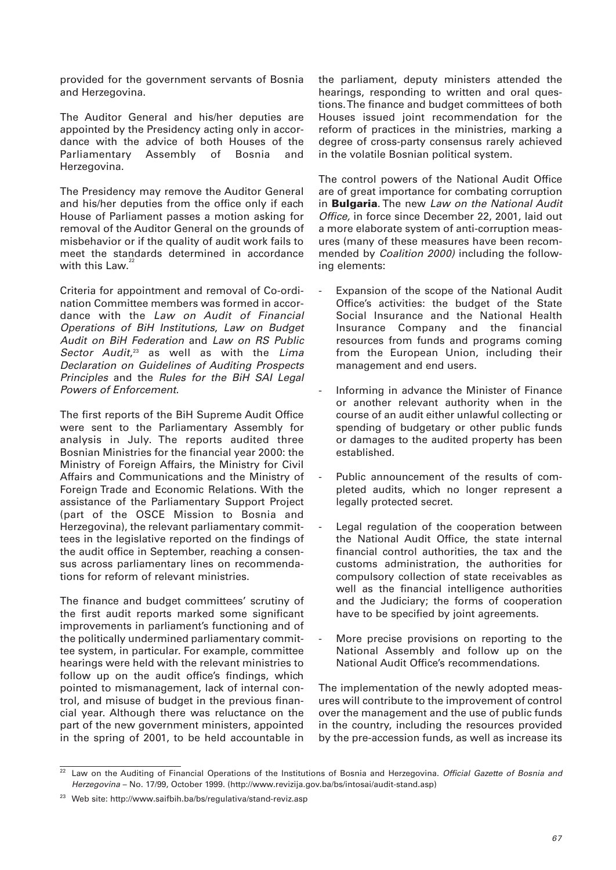provided for the government servants of Bosnia and Herzegovina.

The Auditor General and his/her deputies are appointed by the Presidency acting only in accordance with the advice of both Houses of the Parliamentary Assembly of Bosnia and Herzegovina.

The Presidency may remove the Auditor General and his/her deputies from the office only if each House of Parliament passes a motion asking for removal of the Auditor General on the grounds of misbehavior or if the quality of audit work fails to meet the standards determined in accordance with this Law. $2$ 

Criteria for appointment and removal of Co-ordination Committee members was formed in accordance with the Law on Audit of Financial Operations of BiH Institutions, Law on Budget Audit on BiH Federation and Law on RS Public Sector Audit,<sup>23</sup> as well as with the Lima Declaration on Guidelines of Auditing Prospects Principles and the Rules for the BiH SAI Legal Powers of Enforcement.

The first reports of the BiH Supreme Audit Office were sent to the Parliamentary Assembly for analysis in July. The reports audited three Bosnian Ministries for the financial year 2000: the Ministry of Foreign Affairs, the Ministry for Civil Affairs and Communications and the Ministry of Foreign Trade and Economic Relations. With the assistance of the Parliamentary Support Project (part of the OSCE Mission to Bosnia and Herzegovina), the relevant parliamentary committees in the legislative reported on the findings of the audit office in September, reaching a consensus across parliamentary lines on recommendations for reform of relevant ministries.

The finance and budget committees' scrutiny of the first audit reports marked some significant improvements in parliament's functioning and of the politically undermined parliamentary committee system, in particular. For example, committee hearings were held with the relevant ministries to follow up on the audit office's findings, which pointed to mismanagement, lack of internal control, and misuse of budget in the previous financial year. Although there was reluctance on the part of the new government ministers, appointed in the spring of 2001, to be held accountable in

the parliament, deputy ministers attended the hearings, responding to written and oral questions. The finance and budget committees of both Houses issued joint recommendation for the reform of practices in the ministries, marking a degree of cross-party consensus rarely achieved in the volatile Bosnian political system.

The control powers of the National Audit Office are of great importance for combating corruption in **Bulgaria**. The new Law on the National Audit Office, in force since December 22, 2001, laid out a more elaborate system of anti-corruption measures (many of these measures have been recommended by Coalition 2000) including the following elements:

- -Expansion of the scope of the National Audit Office's activities: the budget of the State Social Insurance and the National Health Insurance Company and the financial resources from funds and programs coming from the European Union, including their management and end users.
- -Informing in advance the Minister of Finance or another relevant authority when in the course of an audit either unlawful collecting or spending of budgetary or other public funds or damages to the audited property has been established.
- Public announcement of the results of completed audits, which no longer represent a legally protected secret.
- Legal regulation of the cooperation between the National Audit Office, the state internal financial control authorities, the tax and the customs administration, the authorities for compulsory collection of state receivables as well as the financial intelligence authorities and the Judiciary; the forms of cooperation have to be specified by joint agreements.
- More precise provisions on reporting to the National Assembly and follow up on the National Audit Office's recommendations.

The implementation of the newly adopted measures will contribute to the improvement of control over the management and the use of public funds in the country, including the resources provided by the pre-accession funds, as well as increase its

Law on the Auditing of Financial Operations of the Institutions of Bosnia and Herzegovina. Official Gazette of Bosnia and Herzegovina – No. 17/99, October 1999. (http://www.revizija.gov.ba/bs/intosai/audit-stand.asp)

<sup>23</sup> Web site: http://www.saifbih.ba/bs/regulativa/stand-reviz.asp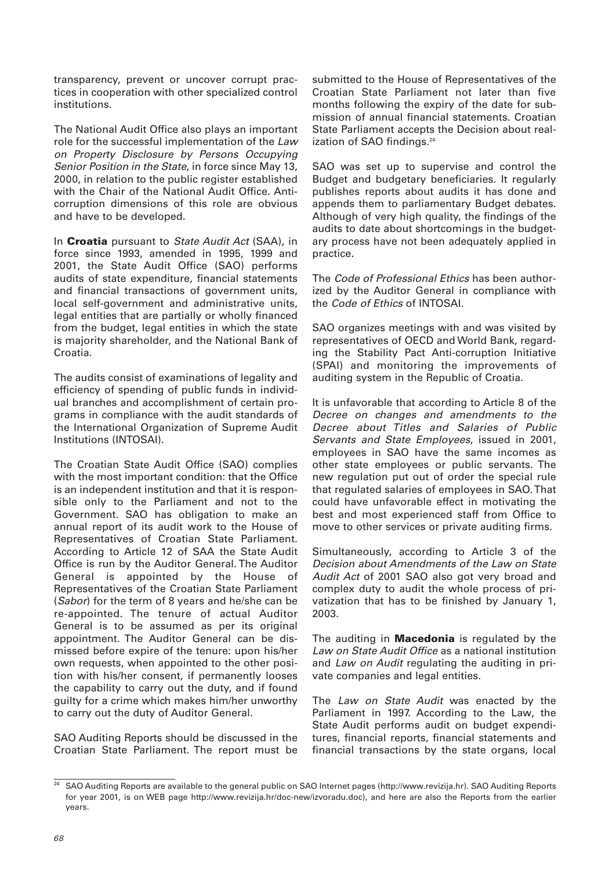transparency, prevent or uncover corrupt practices in cooperation with other specialized control institutions.

The National Audit Office also plays an important role for the successful implementation of the Law on Property Disclosure by Persons Occupying Senior Position in the State, in force since May 13, 2000, in relation to the public register established with the Chair of the National Audit Office. Anticorruption dimensions of this role are obvious and have to be developed.

In **Croatia** pursuant to State Audit Act (SAA), in force since 1993, amended in 1995, 1999 and 2001, the State Audit Office (SAO) performs audits of state expenditure, financial statements and financial transactions of government units, local self-government and administrative units, legal entities that are partially or wholly financed from the budget, legal entities in which the state is majority shareholder, and the National Bank of Croatia.

The audits consist of examinations of legality and efficiency of spending of public funds in individual branches and accomplishment of certain programs in compliance with the audit standards of the International Organization of Supreme Audit Institutions (INTOSAI).

The Croatian State Audit Office (SAO) complies with the most important condition: that the Office is an independent institution and that it is responsible only to the Parliament and not to the Government. SAO has obligation to make an annual report of its audit work to the House of Representatives of Croatian State Parliament. According to Article 12 of SAA the State Audit Office is run by the Auditor General. The Auditor General is appointed by the House of Representatives of the Croatian State Parliament (Sabor) for the term of 8 years and he/she can be re-appointed. The tenure of actual Auditor General is to be assumed as per its original appointment. The Auditor General can be dismissed before expire of the tenure: upon his/her own requests, when appointed to the other position with his/her consent, if permanently looses the capability to carry out the duty, and if found guilty for a crime which makes him/her unworthy to carry out the duty of Auditor General.

SAO Auditing Reports should be discussed in the Croatian State Parliament. The report must be

submitted to the House of Representatives of the Croatian State Parliament not later than five months following the expiry of the date for submission of annual financial statements. Croatian State Parliament accepts the Decision about realization of SAO findings.<sup>24</sup>

SAO was set up to supervise and control the Budget and budgetary beneficiaries. It regularly publishes reports about audits it has done and appends them to parliamentary Budget debates. Although of very high quality, the findings of the audits to date about shortcomings in the budgetary process have not been adequately applied in practice.

The Code of Professional Ethics has been authorized by the Auditor General in compliance with the Code of Ethics of INTOSAI.

SAO organizes meetings with and was visited by representatives of OECD and World Bank, regarding the Stability Pact Anti-corruption Initiative (SPAI) and monitoring the improvements of auditing system in the Republic of Croatia.

It is unfavorable that according to Article 8 of the Decree on changes and amendments to the Decree about Titles and Salaries of Public Servants and State Employees, issued in 2001, employees in SAO have the same incomes as other state employees or public servants. The new regulation put out of order the special rule that regulated salaries of employees in SAO. That could have unfavorable effect in motivating the best and most experienced staff from Office to move to other services or private auditing firms.

Simultaneously, according to Article 3 of the Decision about Amendments of the Law on State Audit Act of 2001 SAO also got very broad and complex duty to audit the whole process of privatization that has to be finished by January 1, 2003.

The auditing in **Macedonia** is regulated by the Law on State Audit Office as a national institution and Law on Audit regulating the auditing in private companies and legal entities.

The Law on State Audit was enacted by the Parliament in 1997. According to the Law, the State Audit performs audit on budget expenditures, financial reports, financial statements and financial transactions by the state organs, local

<sup>&</sup>lt;sup>24</sup> SAO Auditing Reports are available to the general public on SAO Internet pages (http://www.revizija.hr). SAO Auditing Reports for year 2001, is on WEB page http://www.revizija.hr/doc-new/izvoradu.doc), and here are also the Reports from the earlier years.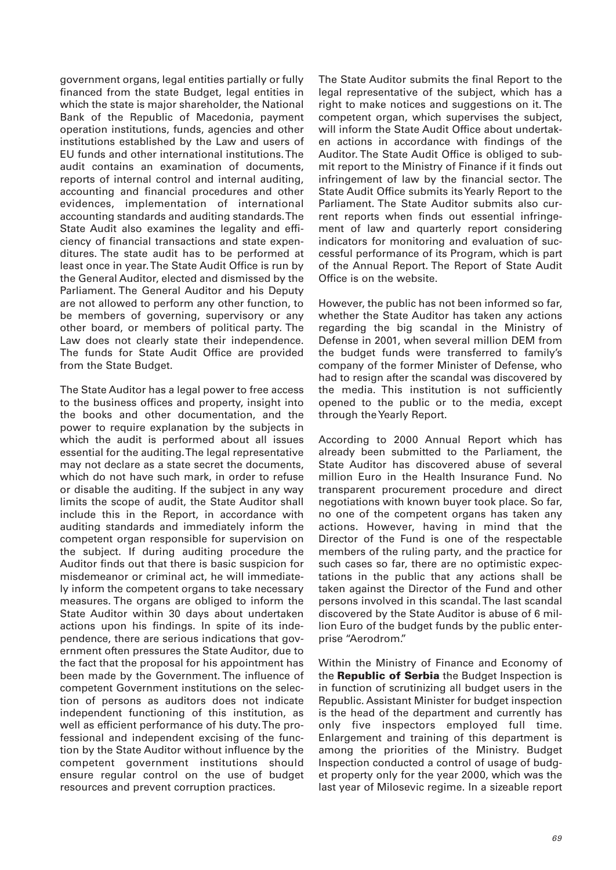government organs, legal entities partially or fully financed from the state Budget, legal entities in which the state is major shareholder, the National Bank of the Republic of Macedonia, payment operation institutions, funds, agencies and other institutions established by the Law and users of EU funds and other international institutions. The audit contains an examination of documents, reports of internal control and internal auditing, accounting and financial procedures and other evidences, implementation of international accounting standards and auditing standards. The State Audit also examines the legality and efficiency of financial transactions and state expenditures. The state audit has to be performed at least once in year. The State Audit Office is run by the General Auditor, elected and dismissed by the Parliament. The General Auditor and his Deputy are not allowed to perform any other function, to be members of governing, supervisory or any other board, or members of political party. The Law does not clearly state their independence. The funds for State Audit Office are provided from the State Budget.

The State Auditor has a legal power to free access to the business offices and property, insight into the books and other documentation, and the power to require explanation by the subjects in which the audit is performed about all issues essential for the auditing. The legal representative may not declare as a state secret the documents, which do not have such mark, in order to refuse or disable the auditing. If the subject in any way limits the scope of audit, the State Auditor shall include this in the Report, in accordance with auditing standards and immediately inform the competent organ responsible for supervision on the subject. If during auditing procedure the Auditor finds out that there is basic suspicion for misdemeanor or criminal act, he will immediately inform the competent organs to take necessary measures. The organs are obliged to inform the State Auditor within 30 days about undertaken actions upon his findings. In spite of its independence, there are serious indications that government often pressures the State Auditor, due to the fact that the proposal for his appointment has been made by the Government. The influence of competent Government institutions on the selection of persons as auditors does not indicate independent functioning of this institution, as well as efficient performance of his duty. The professional and independent excising of the function by the State Auditor without influence by the competent government institutions should ensure regular control on the use of budget resources and prevent corruption practices.

The State Auditor submits the final Report to the legal representative of the subject, which has a right to make notices and suggestions on it. The competent organ, which supervises the subject, will inform the State Audit Office about undertaken actions in accordance with findings of the Auditor. The State Audit Office is obliged to submit report to the Ministry of Finance if it finds out infringement of law by the financial sector. The State Audit Office submits its Yearly Report to the Parliament. The State Auditor submits also current reports when finds out essential infringement of law and quarterly report considering indicators for monitoring and evaluation of successful performance of its Program, which is part of the Annual Report. The Report of State Audit Office is on the website.

However, the public has not been informed so far, whether the State Auditor has taken any actions regarding the big scandal in the Ministry of Defense in 2001, when several million DEM from the budget funds were transferred to family's company of the former Minister of Defense, who had to resign after the scandal was discovered by the media. This institution is not sufficiently opened to the public or to the media, except through the Yearly Report.

According to 2000 Annual Report which has already been submitted to the Parliament, the State Auditor has discovered abuse of several million Euro in the Health Insurance Fund. No transparent procurement procedure and direct negotiations with known buyer took place. So far, no one of the competent organs has taken any actions. However, having in mind that the Director of the Fund is one of the respectable members of the ruling party, and the practice for such cases so far, there are no optimistic expectations in the public that any actions shall be taken against the Director of the Fund and other persons involved in this scandal. The last scandal discovered by the State Auditor is abuse of 6 million Euro of the budget funds by the public enterprise "Aerodrom."

Within the Ministry of Finance and Economy of the **Republic of Serbia** the Budget Inspection is in function of scrutinizing all budget users in the Republic. Assistant Minister for budget inspection is the head of the department and currently has only five inspectors employed full time. Enlargement and training of this department is among the priorities of the Ministry. Budget Inspection conducted a control of usage of budget property only for the year 2000, which was the last year of Milosevic regime. In a sizeable report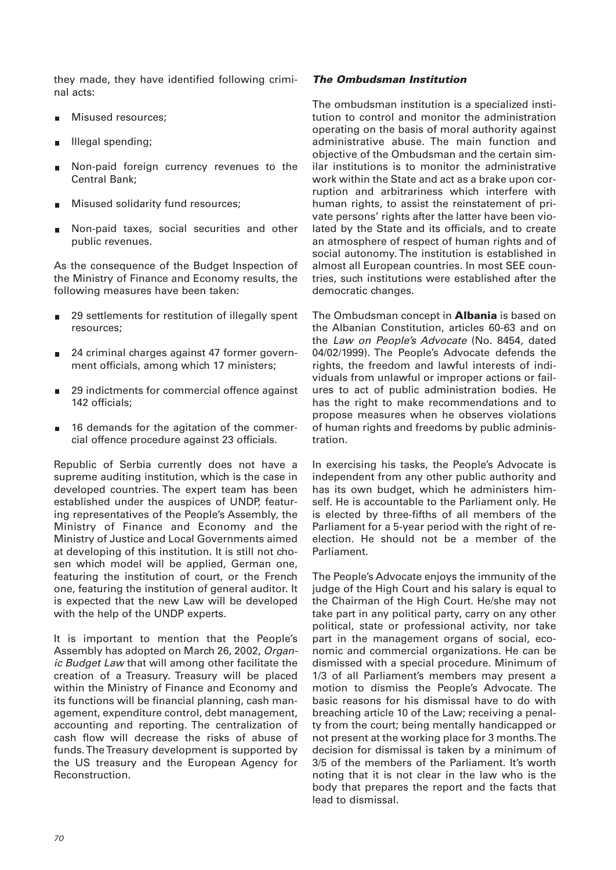they made, they have identified following criminal acts:

- Misused resources; m.
- Illegal spending; Е
- Non-paid foreign currency revenues to the Central Bank;
- Misused solidarity fund resources;
- Non-paid taxes, social securities and other public revenues.

As the consequence of the Budget Inspection of the Ministry of Finance and Economy results, the following measures have been taken:

- 29 settlements for restitution of illegally spent resources;
- 24 criminal charges against 47 former government officials, among which 17 ministers;
- 29 indictments for commercial offence against  $\blacksquare$ 142 officials;
- 16 demands for the agitation of the commercial offence procedure against 23 officials.

Republic of Serbia currently does not have a supreme auditing institution, which is the case in developed countries. The expert team has been established under the auspices of UNDP, featuring representatives of the People's Assembly, the Ministry of Finance and Economy and the Ministry of Justice and Local Governments aimed at developing of this institution. It is still not chosen which model will be applied, German one, featuring the institution of court, or the French one, featuring the institution of general auditor. It is expected that the new Law will be developed with the help of the UNDP experts.

It is important to mention that the People's Assembly has adopted on March 26, 2002, Organic Budget Law that will among other facilitate the creation of a Treasury. Treasury will be placed within the Ministry of Finance and Economy and its functions will be financial planning, cash management, expenditure control, debt management, accounting and reporting. The centralization of cash flow will decrease the risks of abuse of funds. The Treasury development is supported by the US treasury and the European Agency for Reconstruction.

## *The Ombudsman Institution*

The ombudsman institution is a specialized institution to control and monitor the administration operating on the basis of moral authority against administrative abuse. The main function and objective of the Ombudsman and the certain similar institutions is to monitor the administrative work within the State and act as a brake upon corruption and arbitrariness which interfere with human rights, to assist the reinstatement of private persons' rights after the latter have been violated by the State and its officials, and to create an atmosphere of respect of human rights and of social autonomy. The institution is established in almost all European countries. In most SEE countries, such institutions were established after the democratic changes.

The Ombudsman concept in **Albania** is based on the Albanian Constitution, articles 60-63 and on the Law on People's Advocate (No. 8454, dated 04/02/1999). The People's Advocate defends the rights, the freedom and lawful interests of individuals from unlawful or improper actions or failures to act of public administration bodies. He has the right to make recommendations and to propose measures when he observes violations of human rights and freedoms by public administration.

In exercising his tasks, the People's Advocate is independent from any other public authority and has its own budget, which he administers himself. He is accountable to the Parliament only. He is elected by three-fifths of all members of the Parliament for a 5-year period with the right of reelection. He should not be a member of the Parliament.

The People's Advocate enjoys the immunity of the judge of the High Court and his salary is equal to the Chairman of the High Court. He/she may not take part in any political party, carry on any other political, state or professional activity, nor take part in the management organs of social, economic and commercial organizations. He can be dismissed with a special procedure. Minimum of 1/3 of all Parliament's members may present a motion to dismiss the People's Advocate. The basic reasons for his dismissal have to do with breaching article 10 of the Law; receiving a penalty from the court; being mentally handicapped or not present at the working place for 3 months. The decision for dismissal is taken by a minimum of 3/5 of the members of the Parliament. It's worth noting that it is not clear in the law who is the body that prepares the report and the facts that lead to dismissal.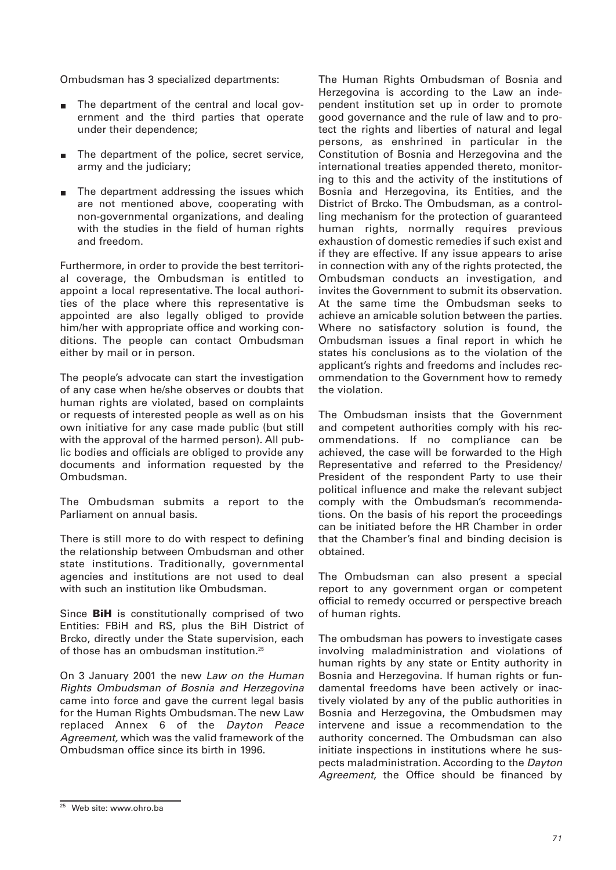Ombudsman has 3 specialized departments:

- The department of the central and local government and the third parties that operate under their dependence;
- The department of the police, secret service, army and the judiciary;
- The department addressing the issues which are not mentioned above, cooperating with non-governmental organizations, and dealing with the studies in the field of human rights and freedom.

Furthermore, in order to provide the best territorial coverage, the Ombudsman is entitled to appoint a local representative. The local authorities of the place where this representative is appointed are also legally obliged to provide him/her with appropriate office and working conditions. The people can contact Ombudsman either by mail or in person.

The people's advocate can start the investigation of any case when he/she observes or doubts that human rights are violated, based on complaints or requests of interested people as well as on his own initiative for any case made public (but still with the approval of the harmed person). All public bodies and officials are obliged to provide any documents and information requested by the Ombudsman.

The Ombudsman submits a report to the Parliament on annual basis.

There is still more to do with respect to defining the relationship between Ombudsman and other state institutions. Traditionally, governmental agencies and institutions are not used to deal with such an institution like Ombudsman.

Since **BiH** is constitutionally comprised of two Entities: FBiH and RS, plus the BiH District of Brcko, directly under the State supervision, each of those has an ombudsman institution.25

On 3 January 2001 the new Law on the Human Rights Ombudsman of Bosnia and Herzegovina came into force and gave the current legal basis for the Human Rights Ombudsman. The new Law replaced Annex 6 of the Dayton Peace Agreement, which was the valid framework of the Ombudsman office since its birth in 1996.

The Human Rights Ombudsman of Bosnia and Herzegovina is according to the Law an independent institution set up in order to promote good governance and the rule of law and to protect the rights and liberties of natural and legal persons, as enshrined in particular in the Constitution of Bosnia and Herzegovina and the international treaties appended thereto, monitoring to this and the activity of the institutions of Bosnia and Herzegovina, its Entities, and the District of Brcko. The Ombudsman, as a controlling mechanism for the protection of guaranteed human rights, normally requires previous exhaustion of domestic remedies if such exist and if they are effective. If any issue appears to arise in connection with any of the rights protected, the Ombudsman conducts an investigation, and invites the Government to submit its observation. At the same time the Ombudsman seeks to achieve an amicable solution between the parties. Where no satisfactory solution is found, the Ombudsman issues a final report in which he states his conclusions as to the violation of the applicant's rights and freedoms and includes recommendation to the Government how to remedy the violation.

The Ombudsman insists that the Government and competent authorities comply with his recommendations. If no compliance can be achieved, the case will be forwarded to the High Representative and referred to the Presidency/ President of the respondent Party to use their political influence and make the relevant subject comply with the Ombudsman's recommendations. On the basis of his report the proceedings can be initiated before the HR Chamber in order that the Chamber's final and binding decision is obtained.

The Ombudsman can also present a special report to any government organ or competent official to remedy occurred or perspective breach of human rights.

The ombudsman has powers to investigate cases involving maladministration and violations of human rights by any state or Entity authority in Bosnia and Herzegovina. If human rights or fundamental freedoms have been actively or inactively violated by any of the public authorities in Bosnia and Herzegovina, the Ombudsmen may intervene and issue a recommendation to the authority concerned. The Ombudsman can also initiate inspections in institutions where he suspects maladministration. According to the Dayton Agreement, the Office should be financed by

 $25$  Web site: www.ohro.ba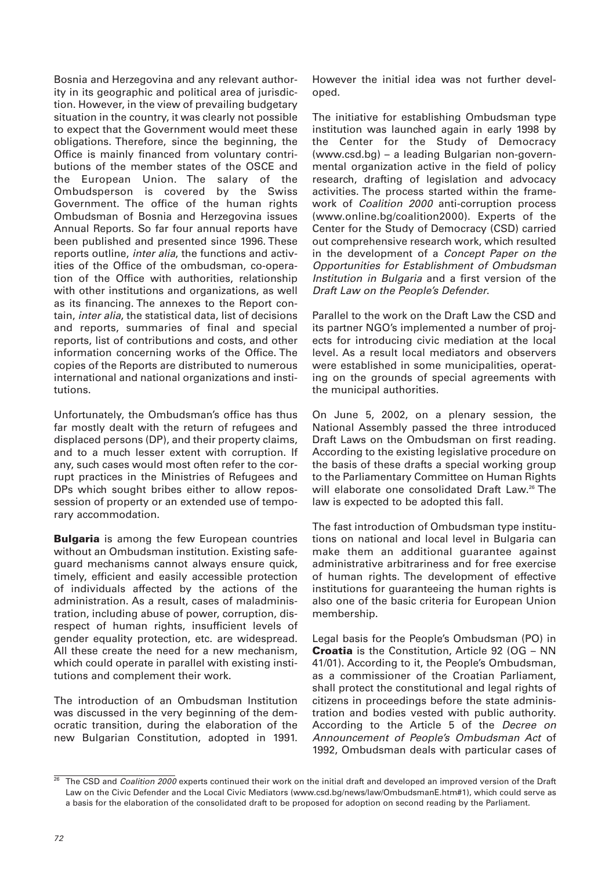Bosnia and Herzegovina and any relevant authority in its geographic and political area of jurisdiction. However, in the view of prevailing budgetary situation in the country, it was clearly not possible to expect that the Government would meet these obligations. Therefore, since the beginning, the Office is mainly financed from voluntary contributions of the member states of the OSCE and the European Union. The salary of the Ombudsperson is covered by the Swiss Government. The office of the human rights Ombudsman of Bosnia and Herzegovina issues Annual Reports. So far four annual reports have been published and presented since 1996. These reports outline, inter alia, the functions and activities of the Office of the ombudsman, co-operation of the Office with authorities, relationship with other institutions and organizations, as well as its financing. The annexes to the Report contain, inter alia, the statistical data, list of decisions and reports, summaries of final and special reports, list of contributions and costs, and other information concerning works of the Office. The copies of the Reports are distributed to numerous international and national organizations and institutions.

Unfortunately, the Ombudsman's office has thus far mostly dealt with the return of refugees and displaced persons (DP), and their property claims, and to a much lesser extent with corruption. If any, such cases would most often refer to the corrupt practices in the Ministries of Refugees and DPs which sought bribes either to allow repossession of property or an extended use of temporary accommodation.

**Bulgaria** is among the few European countries without an Ombudsman institution. Existing safeguard mechanisms cannot always ensure quick, timely, efficient and easily accessible protection of individuals affected by the actions of the administration. As a result, cases of maladministration, including abuse of power, corruption, disrespect of human rights, insufficient levels of gender equality protection, etc. are widespread. All these create the need for a new mechanism, which could operate in parallel with existing institutions and complement their work.

The introduction of an Ombudsman Institution was discussed in the very beginning of the democratic transition, during the elaboration of the new Bulgarian Constitution, adopted in 1991.

However the initial idea was not further developed.

The initiative for establishing Ombudsman type institution was launched again in early 1998 by the Center for the Study of Democracy (www.csd.bg) – a leading Bulgarian non-governmental organization active in the field of policy research, drafting of legislation and advocacy activities. The process started within the framework of Coalition 2000 anti-corruption process (www.online.bg/coalition2000). Experts of the Center for the Study of Democracy (CSD) carried out comprehensive research work, which resulted in the development of a Concept Paper on the Opportunities for Establishment of Ombudsman Institution in Bulgaria and a first version of the Draft Law on the People's Defender.

Parallel to the work on the Draft Law the CSD and its partner NGO's implemented a number of projects for introducing civic mediation at the local level. As a result local mediators and observers were established in some municipalities, operating on the grounds of special agreements with the municipal authorities.

On June 5, 2002, on a plenary session, the National Assembly passed the three introduced Draft Laws on the Ombudsman on first reading. According to the existing legislative procedure on the basis of these drafts a special working group to the Parliamentary Committee on Human Rights will elaborate one consolidated Draft Law.<sup>26</sup> The law is expected to be adopted this fall.

The fast introduction of Ombudsman type institutions on national and local level in Bulgaria can make them an additional guarantee against administrative arbitrariness and for free exercise of human rights. The development of effective institutions for guaranteeing the human rights is also one of the basic criteria for European Union membership.

Legal basis for the People's Ombudsman (PO) in **Croatia** is the Constitution, Article 92 (OG – NN 41/01). According to it, the People's Ombudsman, as a commissioner of the Croatian Parliament, shall protect the constitutional and legal rights of citizens in proceedings before the state administration and bodies vested with public authority. According to the Article 5 of the Decree on Announcement of People's Ombudsman Act of 1992, Ombudsman deals with particular cases of

 $26$  The CSD and *Coalition 2000* experts continued their work on the initial draft and developed an improved version of the Draft Law on the Civic Defender and the Local Civic Mediators (www.csd.bg/news/law/OmbudsmanE.htm#1), which could serve as a basis for the elaboration of the consolidated draft to be proposed for adoption on second reading by the Parliament.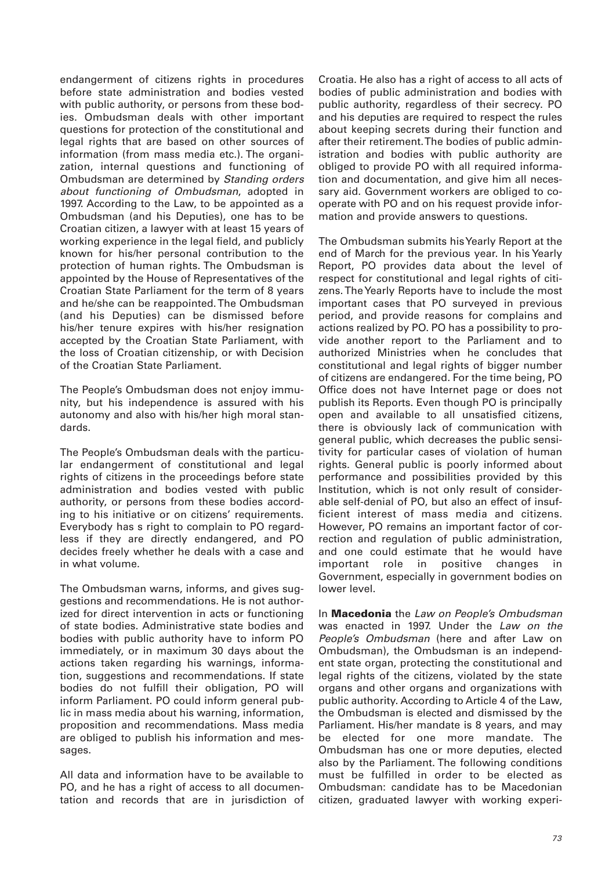endangerment of citizens rights in procedures before state administration and bodies vested with public authority, or persons from these bodies. Ombudsman deals with other important questions for protection of the constitutional and legal rights that are based on other sources of information (from mass media etc.). The organization, internal questions and functioning of Ombudsman are determined by Standing orders about functioning of Ombudsman, adopted in 1997. According to the Law, to be appointed as a Ombudsman (and his Deputies), one has to be Croatian citizen, a lawyer with at least 15 years of working experience in the legal field, and publicly known for his/her personal contribution to the protection of human rights. The Ombudsman is appointed by the House of Representatives of the Croatian State Parliament for the term of 8 years and he/she can be reappointed. The Ombudsman (and his Deputies) can be dismissed before his/her tenure expires with his/her resignation accepted by the Croatian State Parliament, with the loss of Croatian citizenship, or with Decision of the Croatian State Parliament.

The People's Ombudsman does not enjoy immunity, but his independence is assured with his autonomy and also with his/her high moral standards.

The People's Ombudsman deals with the particular endangerment of constitutional and legal rights of citizens in the proceedings before state administration and bodies vested with public authority, or persons from these bodies according to his initiative or on citizens' requirements. Everybody has s right to complain to PO regardless if they are directly endangered, and PO decides freely whether he deals with a case and in what volume.

The Ombudsman warns, informs, and gives suggestions and recommendations. He is not authorized for direct intervention in acts or functioning of state bodies. Administrative state bodies and bodies with public authority have to inform PO immediately, or in maximum 30 days about the actions taken regarding his warnings, information, suggestions and recommendations. If state bodies do not fulfill their obligation, PO will inform Parliament. PO could inform general public in mass media about his warning, information, proposition and recommendations. Mass media are obliged to publish his information and messages.

All data and information have to be available to PO, and he has a right of access to all documentation and records that are in jurisdiction of Croatia. He also has a right of access to all acts of bodies of public administration and bodies with public authority, regardless of their secrecy. PO and his deputies are required to respect the rules about keeping secrets during their function and after their retirement. The bodies of public administration and bodies with public authority are obliged to provide PO with all required information and documentation, and give him all necessary aid. Government workers are obliged to cooperate with PO and on his request provide information and provide answers to questions.

The Ombudsman submits his Yearly Report at the end of March for the previous year. In his Yearly Report, PO provides data about the level of respect for constitutional and legal rights of citizens. The Yearly Reports have to include the most important cases that PO surveyed in previous period, and provide reasons for complains and actions realized by PO. PO has a possibility to provide another report to the Parliament and to authorized Ministries when he concludes that constitutional and legal rights of bigger number of citizens are endangered. For the time being, PO Office does not have Internet page or does not publish its Reports. Even though PO is principally open and available to all unsatisfied citizens, there is obviously lack of communication with general public, which decreases the public sensitivity for particular cases of violation of human rights. General public is poorly informed about performance and possibilities provided by this Institution, which is not only result of considerable self-denial of PO, but also an effect of insufficient interest of mass media and citizens. However, PO remains an important factor of correction and regulation of public administration, and one could estimate that he would have important role in positive changes in Government, especially in government bodies on lower level.

In **Macedonia** the Law on People's Ombudsman was enacted in 1997. Under the Law on the People's Ombudsman (here and after Law on Ombudsman), the Ombudsman is an independent state organ, protecting the constitutional and legal rights of the citizens, violated by the state organs and other organs and organizations with public authority. According to Article 4 of the Law, the Ombudsman is elected and dismissed by the Parliament. His/her mandate is 8 years, and may be elected for one more mandate. The Ombudsman has one or more deputies, elected also by the Parliament. The following conditions must be fulfilled in order to be elected as Ombudsman: candidate has to be Macedonian citizen, graduated lawyer with working experi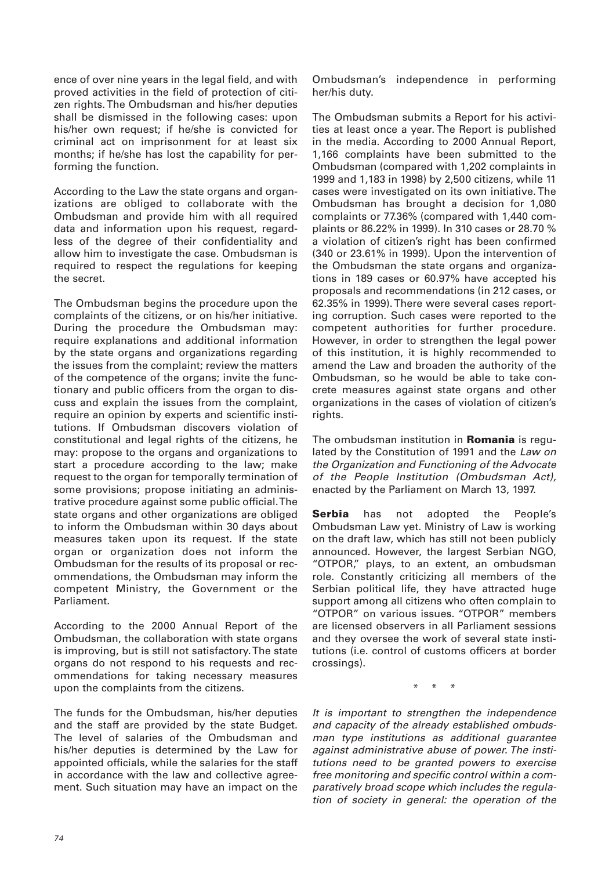ence of over nine years in the legal field, and with proved activities in the field of protection of citizen rights. The Ombudsman and his/her deputies shall be dismissed in the following cases: upon his/her own request; if he/she is convicted for criminal act on imprisonment for at least six months; if he/she has lost the capability for performing the function.

According to the Law the state organs and organizations are obliged to collaborate with the Ombudsman and provide him with all required data and information upon his request, regardless of the degree of their confidentiality and allow him to investigate the case. Ombudsman is required to respect the regulations for keeping the secret.

The Ombudsman begins the procedure upon the complaints of the citizens, or on his/her initiative. During the procedure the Ombudsman may: require explanations and additional information by the state organs and organizations regarding the issues from the complaint; review the matters of the competence of the organs; invite the functionary and public officers from the organ to discuss and explain the issues from the complaint, require an opinion by experts and scientific institutions. If Ombudsman discovers violation of constitutional and legal rights of the citizens, he may: propose to the organs and organizations to start a procedure according to the law; make request to the organ for temporally termination of some provisions; propose initiating an administrative procedure against some public official. The state organs and other organizations are obliged to inform the Ombudsman within 30 days about measures taken upon its request. If the state organ or organization does not inform the Ombudsman for the results of its proposal or recommendations, the Ombudsman may inform the competent Ministry, the Government or the Parliament.

According to the 2000 Annual Report of the Ombudsman, the collaboration with state organs is improving, but is still not satisfactory. The state organs do not respond to his requests and recommendations for taking necessary measures upon the complaints from the citizens.

The funds for the Ombudsman, his/her deputies and the staff are provided by the state Budget. The level of salaries of the Ombudsman and his/her deputies is determined by the Law for appointed officials, while the salaries for the staff in accordance with the law and collective agreement. Such situation may have an impact on the

Ombudsman's independence in performing her/his duty.

The Ombudsman submits a Report for his activities at least once a year. The Report is published in the media. According to 2000 Annual Report, 1,166 complaints have been submitted to the Ombudsman (compared with 1,202 complaints in 1999 and 1,183 in 1998) by 2,500 citizens, while 11 cases were investigated on its own initiative. The Ombudsman has brought a decision for 1,080 complaints or 77.36% (compared with 1,440 complaints or 86.22% in 1999). In 310 cases or 28.70 % a violation of citizen's right has been confirmed (340 or 23.61% in 1999). Upon the intervention of the Ombudsman the state organs and organizations in 189 cases or 60.97% have accepted his proposals and recommendations (in 212 cases, or 62.35% in 1999). There were several cases reporting corruption. Such cases were reported to the competent authorities for further procedure. However, in order to strengthen the legal power of this institution, it is highly recommended to amend the Law and broaden the authority of the Ombudsman, so he would be able to take concrete measures against state organs and other organizations in the cases of violation of citizen's rights.

The ombudsman institution in **Romania** is regulated by the Constitution of 1991 and the Law on the Organization and Functioning of the Advocate of the People Institution (Ombudsman Act), enacted by the Parliament on March 13, 1997.

**Serbia** has not adopted the People's Ombudsman Law yet. Ministry of Law is working on the draft law, which has still not been publicly announced. However, the largest Serbian NGO, "OTPOR," plays, to an extent, an ombudsman role. Constantly criticizing all members of the Serbian political life, they have attracted huge support among all citizens who often complain to "OTPOR" on various issues. "OTPOR" members are licensed observers in all Parliament sessions and they oversee the work of several state institutions (i.e. control of customs officers at border crossings).

\* \* \*

It is important to strengthen the independence and capacity of the already established ombudsman type institutions as additional guarantee against administrative abuse of power. The institutions need to be granted powers to exercise free monitoring and specific control within a comparatively broad scope which includes the regulation of society in general: the operation of the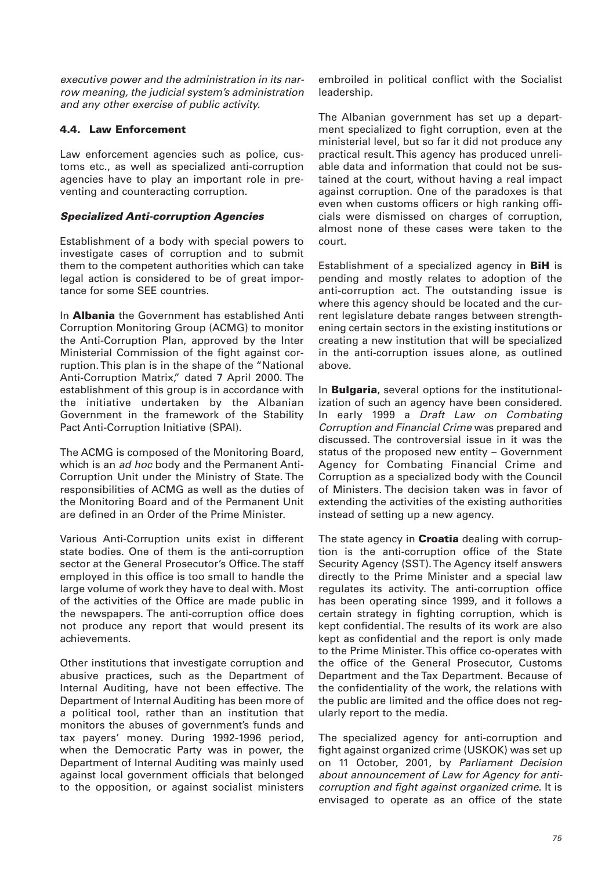executive power and the administration in its narrow meaning, the judicial system's administration and any other exercise of public activity.

# **4.4. Law Enforcement**

Law enforcement agencies such as police, customs etc., as well as specialized anti-corruption agencies have to play an important role in preventing and counteracting corruption.

# *Specialized Anti-corruption Agencies*

Establishment of a body with special powers to investigate cases of corruption and to submit them to the competent authorities which can take legal action is considered to be of great importance for some SEE countries.

In **Albania** the Government has established Anti Corruption Monitoring Group (ACMG) to monitor the Anti-Corruption Plan, approved by the Inter Ministerial Commission of the fight against corruption. This plan is in the shape of the "National Anti-Corruption Matrix," dated 7 April 2000. The establishment of this group is in accordance with the initiative undertaken by the Albanian Government in the framework of the Stability Pact Anti-Corruption Initiative (SPAI).

The ACMG is composed of the Monitoring Board, which is an *ad hoc* body and the Permanent Anti-Corruption Unit under the Ministry of State. The responsibilities of ACMG as well as the duties of the Monitoring Board and of the Permanent Unit are defined in an Order of the Prime Minister.

Various Anti-Corruption units exist in different state bodies. One of them is the anti-corruption sector at the General Prosecutor's Office. The staff employed in this office is too small to handle the large volume of work they have to deal with. Most of the activities of the Office are made public in the newspapers. The anti-corruption office does not produce any report that would present its achievements.

Other institutions that investigate corruption and abusive practices, such as the Department of Internal Auditing, have not been effective. The Department of Internal Auditing has been more of a political tool, rather than an institution that monitors the abuses of government's funds and tax payers' money. During 1992-1996 period, when the Democratic Party was in power, the Department of Internal Auditing was mainly used against local government officials that belonged to the opposition, or against socialist ministers

embroiled in political conflict with the Socialist leadership.

The Albanian government has set up a department specialized to fight corruption, even at the ministerial level, but so far it did not produce any practical result. This agency has produced unreliable data and information that could not be sustained at the court, without having a real impact against corruption. One of the paradoxes is that even when customs officers or high ranking officials were dismissed on charges of corruption, almost none of these cases were taken to the court.

Establishment of a specialized agency in **BiH** is pending and mostly relates to adoption of the anti-corruption act. The outstanding issue is where this agency should be located and the current legislature debate ranges between strengthening certain sectors in the existing institutions or creating a new institution that will be specialized in the anti-corruption issues alone, as outlined above.

In **Bulgaria**, several options for the institutionalization of such an agency have been considered. In early 1999 a Draft Law on Combating Corruption and Financial Crime was prepared and discussed. The controversial issue in it was the status of the proposed new entity – Government Agency for Combating Financial Crime and Corruption as a specialized body with the Council of Ministers. The decision taken was in favor of extending the activities of the existing authorities instead of setting up a new agency.

The state agency in **Croatia** dealing with corruption is the anti-corruption office of the State Security Agency (SST). The Agency itself answers directly to the Prime Minister and a special law regulates its activity. The anti-corruption office has been operating since 1999, and it follows a certain strategy in fighting corruption, which is kept confidential. The results of its work are also kept as confidential and the report is only made to the Prime Minister. This office co-operates with the office of the General Prosecutor, Customs Department and the Tax Department. Because of the confidentiality of the work, the relations with the public are limited and the office does not regularly report to the media.

The specialized agency for anti-corruption and fight against organized crime (USKOK) was set up on 11 October, 2001, by Parliament Decision about announcement of Law for Agency for anticorruption and fight against organized crime. It is envisaged to operate as an office of the state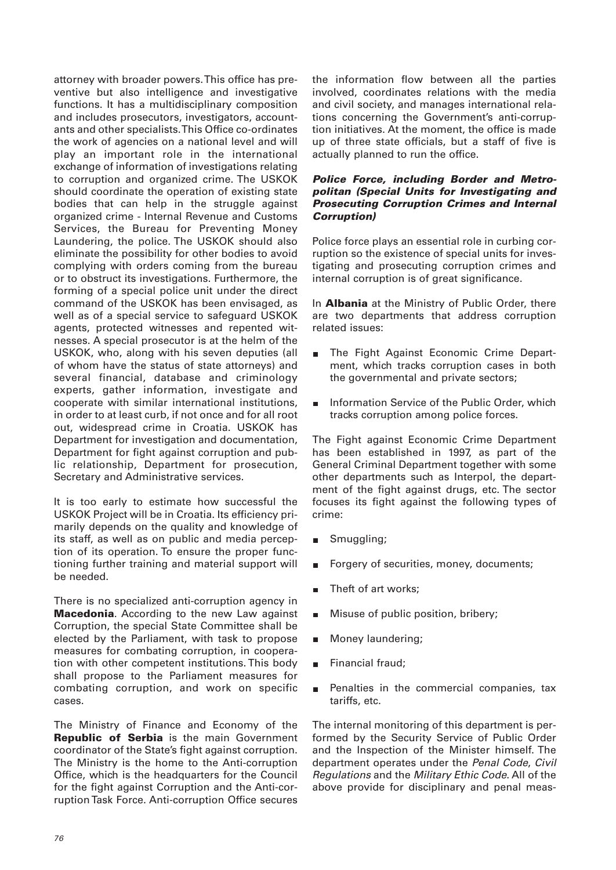attorney with broader powers. This office has preventive but also intelligence and investigative functions. It has a multidisciplinary composition and includes prosecutors, investigators, accountants and other specialists. This Office co-ordinates the work of agencies on a national level and will play an important role in the international exchange of information of investigations relating to corruption and organized crime. The USKOK should coordinate the operation of existing state bodies that can help in the struggle against organized crime - Internal Revenue and Customs Services, the Bureau for Preventing Money Laundering, the police. The USKOK should also eliminate the possibility for other bodies to avoid complying with orders coming from the bureau or to obstruct its investigations. Furthermore, the forming of a special police unit under the direct command of the USKOK has been envisaged, as well as of a special service to safeguard USKOK agents, protected witnesses and repented witnesses. A special prosecutor is at the helm of the USKOK, who, along with his seven deputies (all of whom have the status of state attorneys) and several financial, database and criminology experts, gather information, investigate and cooperate with similar international institutions, in order to at least curb, if not once and for all root out, widespread crime in Croatia. USKOK has Department for investigation and documentation, Department for fight against corruption and public relationship, Department for prosecution, Secretary and Administrative services.

It is too early to estimate how successful the USKOK Project will be in Croatia. Its efficiency primarily depends on the quality and knowledge of its staff, as well as on public and media perception of its operation. To ensure the proper functioning further training and material support will be needed.

There is no specialized anti-corruption agency in **Macedonia**. According to the new Law against Corruption, the special State Committee shall be elected by the Parliament, with task to propose measures for combating corruption, in cooperation with other competent institutions. This body shall propose to the Parliament measures for combating corruption, and work on specific cases.

The Ministry of Finance and Economy of the **Republic of Serbia** is the main Government coordinator of the State's fight against corruption. The Ministry is the home to the Anti-corruption Office, which is the headquarters for the Council for the fight against Corruption and the Anti-corruption Task Force. Anti-corruption Office secures

the information flow between all the parties involved, coordinates relations with the media and civil society, and manages international relations concerning the Government's anti-corruption initiatives. At the moment, the office is made up of three state officials, but a staff of five is actually planned to run the office.

## *Police Force, including Border and Metropolitan (Special Units for Investigating and Prosecuting Corruption Crimes and Internal Corruption)*

Police force plays an essential role in curbing corruption so the existence of special units for investigating and prosecuting corruption crimes and internal corruption is of great significance.

In **Albania** at the Ministry of Public Order, there are two departments that address corruption related issues:

- The Fight Against Economic Crime Depart- $\blacksquare$ ment, which tracks corruption cases in both the governmental and private sectors;
- Information Service of the Public Order, which  $\blacksquare$ tracks corruption among police forces.

The Fight against Economic Crime Department has been established in 1997, as part of the General Criminal Department together with some other departments such as Interpol, the department of the fight against drugs, etc. The sector focuses its fight against the following types of crime:

- Smuggling;
- Forgery of securities, money, documents;  $\blacksquare$
- Theft of art works;  $\blacksquare$
- Misuse of public position, bribery;  $\blacksquare$
- Money laundering;  $\blacksquare$
- Financial fraud;
- Penalties in the commercial companies, tax  $\blacksquare$ tariffs, etc.

The internal monitoring of this department is performed by the Security Service of Public Order and the Inspection of the Minister himself. The department operates under the Penal Code, Civil Regulations and the Military Ethic Code. All of the above provide for disciplinary and penal meas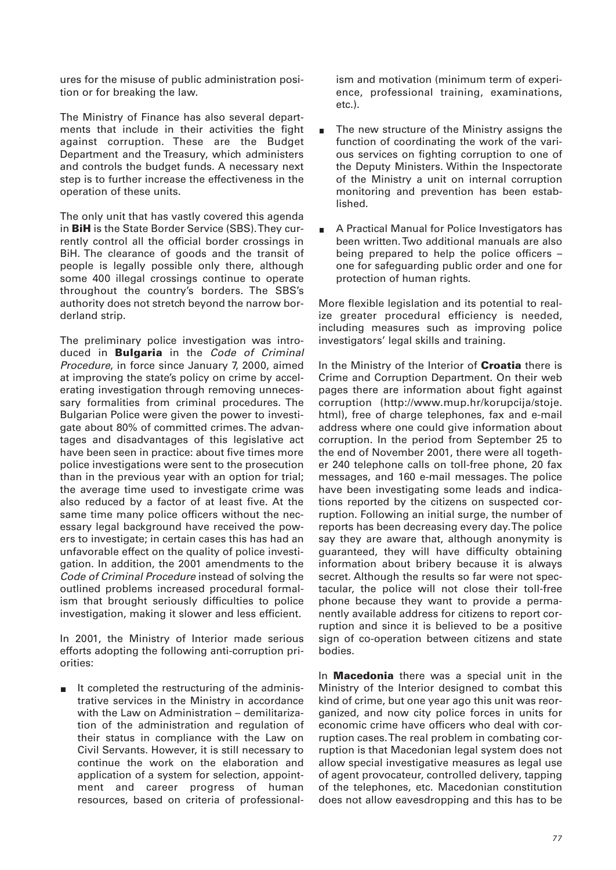ures for the misuse of public administration position or for breaking the law.

The Ministry of Finance has also several departments that include in their activities the fight against corruption. These are the Budget Department and the Treasury, which administers and controls the budget funds. A necessary next step is to further increase the effectiveness in the operation of these units.

The only unit that has vastly covered this agenda in **BiH** is the State Border Service (SBS). They currently control all the official border crossings in BiH. The clearance of goods and the transit of people is legally possible only there, although some 400 illegal crossings continue to operate throughout the country's borders. The SBS's authority does not stretch beyond the narrow borderland strip.

The preliminary police investigation was introduced in **Bulgaria** in the Code of Criminal Procedure, in force since January 7, 2000, aimed at improving the state's policy on crime by accelerating investigation through removing unnecessary formalities from criminal procedures. The Bulgarian Police were given the power to investigate about 80% of committed crimes. The advantages and disadvantages of this legislative act have been seen in practice: about five times more police investigations were sent to the prosecution than in the previous year with an option for trial; the average time used to investigate crime was also reduced by a factor of at least five. At the same time many police officers without the necessary legal background have received the powers to investigate; in certain cases this has had an unfavorable effect on the quality of police investigation. In addition, the 2001 amendments to the Code of Criminal Procedure instead of solving the outlined problems increased procedural formalism that brought seriously difficulties to police investigation, making it slower and less efficient.

In 2001, the Ministry of Interior made serious efforts adopting the following anti-corruption priorities:

It completed the restructuring of the adminis- $\blacksquare$ trative services in the Ministry in accordance with the Law on Administration – demilitarization of the administration and regulation of their status in compliance with the Law on Civil Servants. However, it is still necessary to continue the work on the elaboration and application of a system for selection, appointment and career progress of human resources, based on criteria of professionalism and motivation (minimum term of experience, professional training, examinations, etc.).

- The new structure of the Ministry assigns the function of coordinating the work of the various services on fighting corruption to one of the Deputy Ministers. Within the Inspectorate of the Ministry a unit on internal corruption monitoring and prevention has been established.
- A Practical Manual for Police Investigators has been written. Two additional manuals are also being prepared to help the police officers – one for safeguarding public order and one for protection of human rights.

More flexible legislation and its potential to realize greater procedural efficiency is needed, including measures such as improving police investigators' legal skills and training.

In the Ministry of the Interior of **Croatia** there is Crime and Corruption Department. On their web pages there are information about fight against corruption (http://www.mup.hr/korupcija/stoje. html), free of charge telephones, fax and e-mail address where one could give information about corruption. In the period from September 25 to the end of November 2001, there were all together 240 telephone calls on toll-free phone, 20 fax messages, and 160 e-mail messages. The police have been investigating some leads and indications reported by the citizens on suspected corruption. Following an initial surge, the number of reports has been decreasing every day. The police say they are aware that, although anonymity is guaranteed, they will have difficulty obtaining information about bribery because it is always secret. Although the results so far were not spectacular, the police will not close their toll-free phone because they want to provide a permanently available address for citizens to report corruption and since it is believed to be a positive sign of co-operation between citizens and state bodies.

In **Macedonia** there was a special unit in the Ministry of the Interior designed to combat this kind of crime, but one year ago this unit was reorganized, and now city police forces in units for economic crime have officers who deal with corruption cases. The real problem in combating corruption is that Macedonian legal system does not allow special investigative measures as legal use of agent provocateur, controlled delivery, tapping of the telephones, etc. Macedonian constitution does not allow eavesdropping and this has to be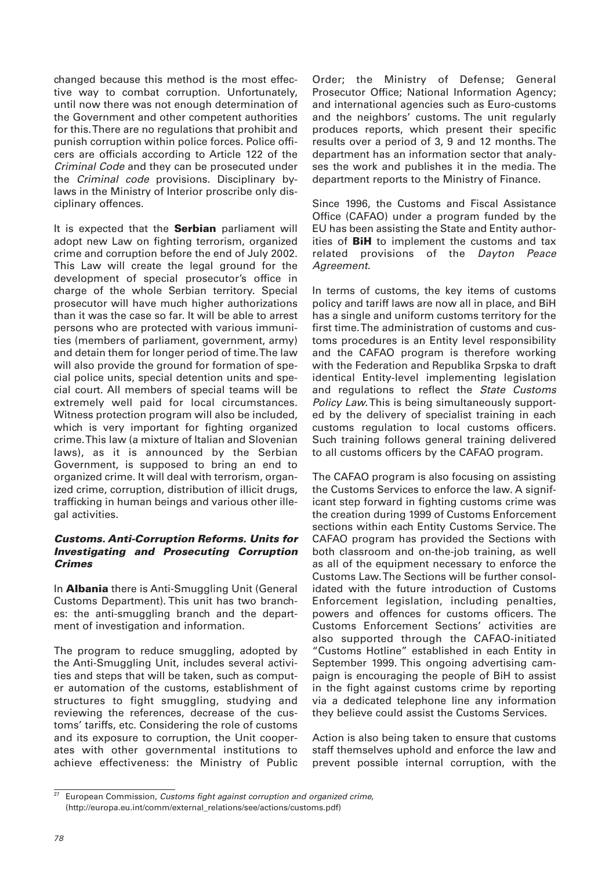changed because this method is the most effective way to combat corruption. Unfortunately, until now there was not enough determination of the Government and other competent authorities for this. There are no regulations that prohibit and punish corruption within police forces. Police officers are officials according to Article 122 of the Criminal Code and they can be prosecuted under the Criminal code provisions. Disciplinary bylaws in the Ministry of Interior proscribe only disciplinary offences.

It is expected that the **Serbian** parliament will adopt new Law on fighting terrorism, organized crime and corruption before the end of July 2002. This Law will create the legal ground for the development of special prosecutor's office in charge of the whole Serbian territory. Special prosecutor will have much higher authorizations than it was the case so far. It will be able to arrest persons who are protected with various immunities (members of parliament, government, army) and detain them for longer period of time. The law will also provide the ground for formation of special police units, special detention units and special court. All members of special teams will be extremely well paid for local circumstances. Witness protection program will also be included, which is very important for fighting organized crime. This law (a mixture of Italian and Slovenian laws), as it is announced by the Serbian Government, is supposed to bring an end to organized crime. It will deal with terrorism, organized crime, corruption, distribution of illicit drugs, trafficking in human beings and various other illegal activities.

# *Customs. Anti-Corruption Reforms. Units for Investigating and Prosecuting Corruption Crimes*

In **Albania** there is Anti-Smuggling Unit (General Customs Department). This unit has two branches: the anti-smuggling branch and the department of investigation and information.

The program to reduce smuggling, adopted by the Anti-Smuggling Unit, includes several activities and steps that will be taken, such as computer automation of the customs, establishment of structures to fight smuggling, studying and reviewing the references, decrease of the customs' tariffs, etc. Considering the role of customs and its exposure to corruption, the Unit cooperates with other governmental institutions to achieve effectiveness: the Ministry of Public

Order; the Ministry of Defense; General Prosecutor Office; National Information Agency; and international agencies such as Euro-customs and the neighbors' customs. The unit regularly produces reports, which present their specific results over a period of 3, 9 and 12 months. The department has an information sector that analyses the work and publishes it in the media. The department reports to the Ministry of Finance.

Since 1996, the Customs and Fiscal Assistance Office (CAFAO) under a program funded by the EU has been assisting the State and Entity authorities of **BiH** to implement the customs and tax related provisions of the Dayton Peace Agreement.

In terms of customs, the key items of customs policy and tariff laws are now all in place, and BiH has a single and uniform customs territory for the first time. The administration of customs and customs procedures is an Entity level responsibility and the CAFAO program is therefore working with the Federation and Republika Srpska to draft identical Entity-level implementing legislation and regulations to reflect the State Customs Policy Law.This is being simultaneously supported by the delivery of specialist training in each customs regulation to local customs officers. Such training follows general training delivered to all customs officers by the CAFAO program.

The CAFAO program is also focusing on assisting the Customs Services to enforce the law. A significant step forward in fighting customs crime was the creation during 1999 of Customs Enforcement sections within each Entity Customs Service. The CAFAO program has provided the Sections with both classroom and on-the-job training, as well as all of the equipment necessary to enforce the Customs Law. The Sections will be further consolidated with the future introduction of Customs Enforcement legislation, including penalties, powers and offences for customs officers. The Customs Enforcement Sections' activities are also supported through the CAFAO-initiated "Customs Hotline" established in each Entity in September 1999. This ongoing advertising campaign is encouraging the people of BiH to assist in the fight against customs crime by reporting via a dedicated telephone line any information they believe could assist the Customs Services.

Action is also being taken to ensure that customs staff themselves uphold and enforce the law and prevent possible internal corruption, with the

 $27$  European Commission, Customs fight against corruption and organized crime, (http://europa.eu.int/comm/external\_relations/see/actions/customs.pdf)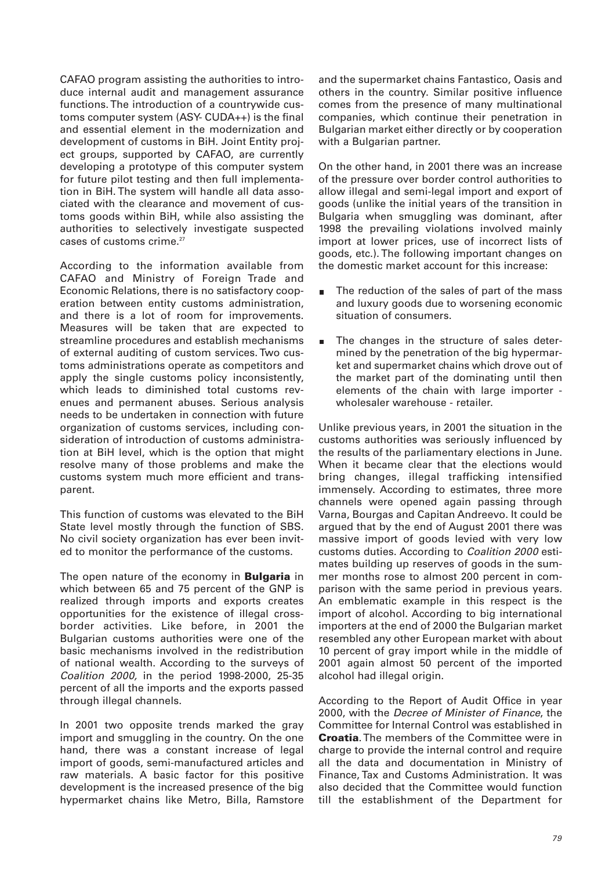CAFAO program assisting the authorities to introduce internal audit and management assurance functions. The introduction of a countrywide customs computer system (ASY- CUDA++) is the final and essential element in the modernization and development of customs in BiH. Joint Entity project groups, supported by CAFAO, are currently developing a prototype of this computer system for future pilot testing and then full implementation in BiH. The system will handle all data associated with the clearance and movement of customs goods within BiH, while also assisting the authorities to selectively investigate suspected cases of customs crime.<sup>27</sup>

According to the information available from CAFAO and Ministry of Foreign Trade and Economic Relations, there is no satisfactory cooperation between entity customs administration, and there is a lot of room for improvements. Measures will be taken that are expected to streamline procedures and establish mechanisms of external auditing of custom services. Two customs administrations operate as competitors and apply the single customs policy inconsistently, which leads to diminished total customs revenues and permanent abuses. Serious analysis needs to be undertaken in connection with future organization of customs services, including consideration of introduction of customs administration at BiH level, which is the option that might resolve many of those problems and make the customs system much more efficient and transparent.

This function of customs was elevated to the BiH State level mostly through the function of SBS. No civil society organization has ever been invited to monitor the performance of the customs.

The open nature of the economy in **Bulgaria** in which between 65 and 75 percent of the GNP is realized through imports and exports creates opportunities for the existence of illegal crossborder activities. Like before, in 2001 the Bulgarian customs authorities were one of the basic mechanisms involved in the redistribution of national wealth. According to the surveys of Coalition 2000, in the period 1998-2000, 25-35 percent of all the imports and the exports passed through illegal channels.

In 2001 two opposite trends marked the gray import and smuggling in the country. On the one hand, there was a constant increase of legal import of goods, semi-manufactured articles and raw materials. A basic factor for this positive development is the increased presence of the big hypermarket chains like Metro, Billa, Ramstore and the supermarket chains Fantastico, Oasis and others in the country. Similar positive influence comes from the presence of many multinational companies, which continue their penetration in Bulgarian market either directly or by cooperation with a Bulgarian partner.

On the other hand, in 2001 there was an increase of the pressure over border control authorities to allow illegal and semi-legal import and export of goods (unlike the initial years of the transition in Bulgaria when smuggling was dominant, after 1998 the prevailing violations involved mainly import at lower prices, use of incorrect lists of goods, etc.). The following important changes on the domestic market account for this increase:

- The reduction of the sales of part of the mass  $\blacksquare$ and luxury goods due to worsening economic situation of consumers.
- The changes in the structure of sales determined by the penetration of the big hypermarket and supermarket chains which drove out of the market part of the dominating until then elements of the chain with large importer wholesaler warehouse - retailer.

Unlike previous years, in 2001 the situation in the customs authorities was seriously influenced by the results of the parliamentary elections in June. When it became clear that the elections would bring changes, illegal trafficking intensified immensely. According to estimates, three more channels were opened again passing through Varna, Bourgas and Capitan Andreevo. It could be argued that by the end of August 2001 there was massive import of goods levied with very low customs duties. According to Coalition 2000 estimates building up reserves of goods in the summer months rose to almost 200 percent in comparison with the same period in previous years. An emblematic example in this respect is the import of alcohol. According to big international importers at the end of 2000 the Bulgarian market resembled any other European market with about 10 percent of gray import while in the middle of 2001 again almost 50 percent of the imported alcohol had illegal origin.

According to the Report of Audit Office in year 2000, with the Decree of Minister of Finance, the Committee for Internal Control was established in **Croatia**. The members of the Committee were in charge to provide the internal control and require all the data and documentation in Ministry of Finance, Tax and Customs Administration. It was also decided that the Committee would function till the establishment of the Department for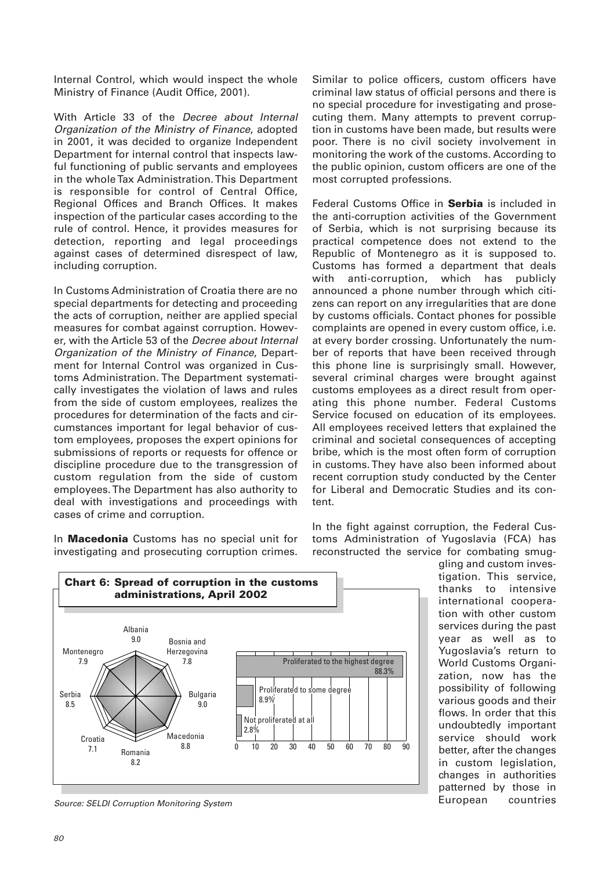Internal Control, which would inspect the whole Ministry of Finance (Audit Office, 2001).

With Article 33 of the Decree about Internal Organization of the Ministry of Finance, adopted in 2001, it was decided to organize Independent Department for internal control that inspects lawful functioning of public servants and employees in the whole Tax Administration. This Department is responsible for control of Central Office, Regional Offices and Branch Offices. It makes inspection of the particular cases according to the rule of control. Hence, it provides measures for detection, reporting and legal proceedings against cases of determined disrespect of law, including corruption.

In Customs Administration of Croatia there are no special departments for detecting and proceeding the acts of corruption, neither are applied special measures for combat against corruption. However, with the Article 53 of the Decree about Internal Organization of the Ministry of Finance, Department for Internal Control was organized in Customs Administration. The Department systematically investigates the violation of laws and rules from the side of custom employees, realizes the procedures for determination of the facts and circumstances important for legal behavior of custom employees, proposes the expert opinions for submissions of reports or requests for offence or discipline procedure due to the transgression of custom regulation from the side of custom employees. The Department has also authority to deal with investigations and proceedings with cases of crime and corruption.

In **Macedonia** Customs has no special unit for investigating and prosecuting corruption crimes.

Similar to police officers, custom officers have criminal law status of official persons and there is no special procedure for investigating and prosecuting them. Many attempts to prevent corruption in customs have been made, but results were poor. There is no civil society involvement in monitoring the work of the customs. According to the public opinion, custom officers are one of the most corrupted professions.

Federal Customs Office in **Serbia** is included in the anti-corruption activities of the Government of Serbia, which is not surprising because its practical competence does not extend to the Republic of Montenegro as it is supposed to. Customs has formed a department that deals with anti-corruption, which has publicly announced a phone number through which citizens can report on any irregularities that are done by customs officials. Contact phones for possible complaints are opened in every custom office, i.e. at every border crossing. Unfortunately the number of reports that have been received through this phone line is surprisingly small. However, several criminal charges were brought against customs employees as a direct result from operating this phone number. Federal Customs Service focused on education of its employees. All employees received letters that explained the criminal and societal consequences of accepting bribe, which is the most often form of corruption in customs. They have also been informed about recent corruption study conducted by the Center for Liberal and Democratic Studies and its content.

In the fight against corruption, the Federal Customs Administration of Yugoslavia (FCA) has reconstructed the service for combating smug-



Source: SELDI Corruption Monitoring System

gling and custom investigation. This service, thanks to intensive international cooperation with other custom services during the past year as well as to Yugoslavia's return to World Customs Organization, now has the possibility of following various goods and their flows. In order that this undoubtedly important service should work better, after the changes in custom legislation, changes in authorities patterned by those in European countries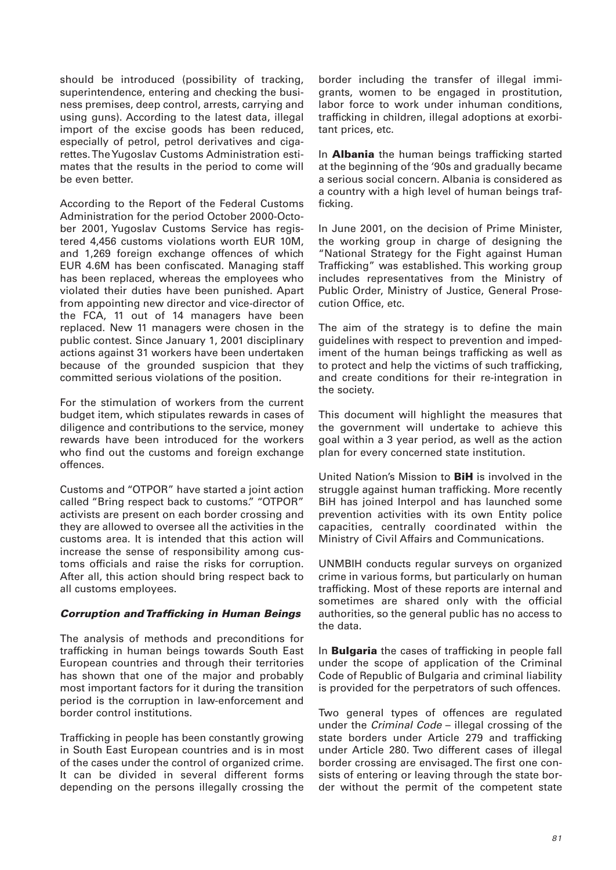should be introduced (possibility of tracking, superintendence, entering and checking the business premises, deep control, arrests, carrying and using guns). According to the latest data, illegal import of the excise goods has been reduced, especially of petrol, petrol derivatives and cigarettes. The Yugoslav Customs Administration estimates that the results in the period to come will be even better.

According to the Report of the Federal Customs Administration for the period October 2000-October 2001, Yugoslav Customs Service has registered 4,456 customs violations worth EUR 10M, and 1,269 foreign exchange offences of which EUR 4.6M has been confiscated. Managing staff has been replaced, whereas the employees who violated their duties have been punished. Apart from appointing new director and vice-director of the FCA, 11 out of 14 managers have been replaced. New 11 managers were chosen in the public contest. Since January 1, 2001 disciplinary actions against 31 workers have been undertaken because of the grounded suspicion that they committed serious violations of the position.

For the stimulation of workers from the current budget item, which stipulates rewards in cases of diligence and contributions to the service, money rewards have been introduced for the workers who find out the customs and foreign exchange offences.

Customs and "OTPOR" have started a joint action called "Bring respect back to customs." "OTPOR" activists are present on each border crossing and they are allowed to oversee all the activities in the customs area. It is intended that this action will increase the sense of responsibility among customs officials and raise the risks for corruption. After all, this action should bring respect back to all customs employees.

## *Corruption and Trafficking in Human Beings*

The analysis of methods and preconditions for trafficking in human beings towards South East European countries and through their territories has shown that one of the major and probably most important factors for it during the transition period is the corruption in law-enforcement and border control institutions.

Trafficking in people has been constantly growing in South East European countries and is in most of the cases under the control of organized crime. It can be divided in several different forms depending on the persons illegally crossing the

border including the transfer of illegal immigrants, women to be engaged in prostitution, labor force to work under inhuman conditions, trafficking in children, illegal adoptions at exorbitant prices, etc.

In **Albania** the human beings trafficking started at the beginning of the '90s and gradually became a serious social concern. Albania is considered as a country with a high level of human beings trafficking.

In June 2001, on the decision of Prime Minister, the working group in charge of designing the "National Strategy for the Fight against Human Trafficking" was established. This working group includes representatives from the Ministry of Public Order, Ministry of Justice, General Prosecution Office, etc.

The aim of the strategy is to define the main guidelines with respect to prevention and impediment of the human beings trafficking as well as to protect and help the victims of such trafficking, and create conditions for their re-integration in the society.

This document will highlight the measures that the government will undertake to achieve this goal within a 3 year period, as well as the action plan for every concerned state institution.

United Nation's Mission to **BiH** is involved in the struggle against human trafficking. More recently BiH has joined Interpol and has launched some prevention activities with its own Entity police capacities, centrally coordinated within the Ministry of Civil Affairs and Communications.

UNMBIH conducts regular surveys on organized crime in various forms, but particularly on human trafficking. Most of these reports are internal and sometimes are shared only with the official authorities, so the general public has no access to the data.

In **Bulgaria** the cases of trafficking in people fall under the scope of application of the Criminal Code of Republic of Bulgaria and criminal liability is provided for the perpetrators of such offences.

Two general types of offences are regulated under the Criminal Code – illegal crossing of the state borders under Article 279 and trafficking under Article 280. Two different cases of illegal border crossing are envisaged. The first one consists of entering or leaving through the state border without the permit of the competent state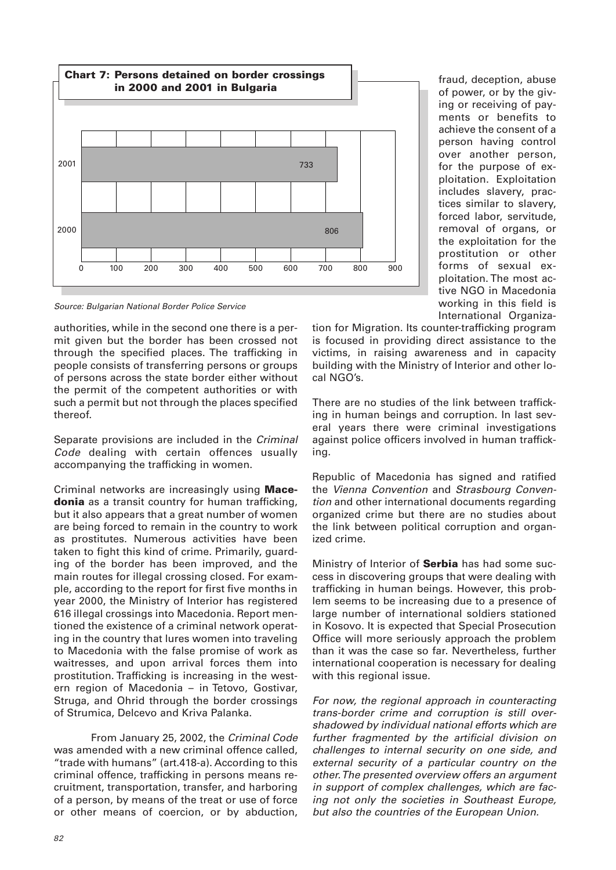

Source: Bulgarian National Border Police Service

authorities, while in the second one there is a permit given but the border has been crossed not through the specified places. The trafficking in people consists of transferring persons or groups of persons across the state border either without the permit of the competent authorities or with such a permit but not through the places specified thereof.

Separate provisions are included in the Criminal Code dealing with certain offences usually accompanying the trafficking in women.

Criminal networks are increasingly using **Macedonia** as a transit country for human trafficking, but it also appears that a great number of women are being forced to remain in the country to work as prostitutes. Numerous activities have been taken to fight this kind of crime. Primarily, guarding of the border has been improved, and the main routes for illegal crossing closed. For example, according to the report for first five months in year 2000, the Ministry of Interior has registered 616 illegal crossings into Macedonia. Report mentioned the existence of a criminal network operating in the country that lures women into traveling to Macedonia with the false promise of work as waitresses, and upon arrival forces them into prostitution. Trafficking is increasing in the western region of Macedonia – in Tetovo, Gostivar, Struga, and Ohrid through the border crossings of Strumica, Delcevo and Kriva Palanka.

From January 25, 2002, the Criminal Code was amended with a new criminal offence called, "trade with humans" (art.418-a). According to this criminal offence, trafficking in persons means recruitment, transportation, transfer, and harboring of a person, by means of the treat or use of force or other means of coercion, or by abduction,

fraud, deception, abuse of power, or by the giving or receiving of payments or benefits to achieve the consent of a person having control over another person, for the purpose of exploitation. Exploitation includes slavery, practices similar to slavery, forced labor, servitude, removal of organs, or the exploitation for the prostitution or other forms of sexual exploitation. The most active NGO in Macedonia working in this field is International Organiza-

tion for Migration. Its counter-trafficking program is focused in providing direct assistance to the victims, in raising awareness and in capacity building with the Ministry of Interior and other local NGO's.

There are no studies of the link between trafficking in human beings and corruption. In last several years there were criminal investigations against police officers involved in human trafficking.

Republic of Macedonia has signed and ratified the Vienna Convention and Strasbourg Convention and other international documents regarding organized crime but there are no studies about the link between political corruption and organized crime.

Ministry of Interior of **Serbia** has had some success in discovering groups that were dealing with trafficking in human beings. However, this problem seems to be increasing due to a presence of large number of international soldiers stationed in Kosovo. It is expected that Special Prosecution Office will more seriously approach the problem than it was the case so far. Nevertheless, further international cooperation is necessary for dealing with this regional issue.

For now, the regional approach in counteracting trans-border crime and corruption is still overshadowed by individual national efforts which are further fragmented by the artificial division on challenges to internal security on one side, and external security of a particular country on the other. The presented overview offers an argument in support of complex challenges, which are facing not only the societies in Southeast Europe, but also the countries of the European Union.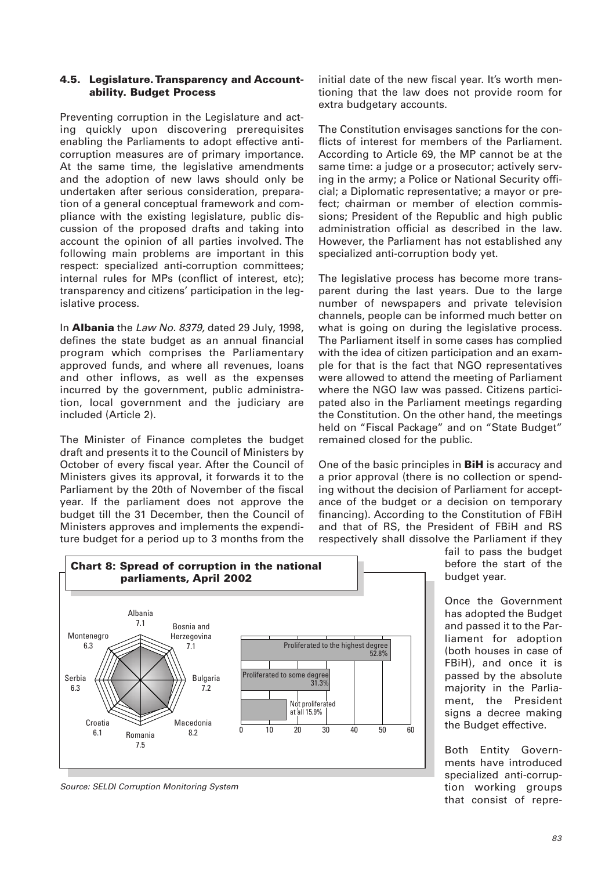### **4.5. Legislature. Transparency and Accountability. Budget Process**

Preventing corruption in the Legislature and acting quickly upon discovering prerequisites enabling the Parliaments to adopt effective anticorruption measures are of primary importance. At the same time, the legislative amendments and the adoption of new laws should only be undertaken after serious consideration, preparation of a general conceptual framework and compliance with the existing legislature, public discussion of the proposed drafts and taking into account the opinion of all parties involved. The following main problems are important in this respect: specialized anti-corruption committees; internal rules for MPs (conflict of interest, etc); transparency and citizens' participation in the legislative process.

In **Albania** the Law No. 8379, dated 29 July, 1998, defines the state budget as an annual financial program which comprises the Parliamentary approved funds, and where all revenues, loans and other inflows, as well as the expenses incurred by the government, public administration, local government and the judiciary are included (Article 2).

The Minister of Finance completes the budget draft and presents it to the Council of Ministers by October of every fiscal year. After the Council of Ministers gives its approval, it forwards it to the Parliament by the 20th of November of the fiscal year. If the parliament does not approve the budget till the 31 December, then the Council of Ministers approves and implements the expenditure budget for a period up to 3 months from the

initial date of the new fiscal year. It's worth mentioning that the law does not provide room for extra budgetary accounts.

The Constitution envisages sanctions for the conflicts of interest for members of the Parliament. According to Article 69, the MP cannot be at the same time: a judge or a prosecutor; actively serving in the army; a Police or National Security official; a Diplomatic representative; a mayor or prefect; chairman or member of election commissions; President of the Republic and high public administration official as described in the law. However, the Parliament has not established any specialized anti-corruption body yet.

The legislative process has become more transparent during the last years. Due to the large number of newspapers and private television channels, people can be informed much better on what is going on during the legislative process. The Parliament itself in some cases has complied with the idea of citizen participation and an example for that is the fact that NGO representatives were allowed to attend the meeting of Parliament where the NGO law was passed. Citizens participated also in the Parliament meetings regarding the Constitution. On the other hand, the meetings held on "Fiscal Package" and on "State Budget" remained closed for the public.

One of the basic principles in **BiH** is accuracy and a prior approval (there is no collection or spending without the decision of Parliament for acceptance of the budget or a decision on temporary financing). According to the Constitution of FBiH and that of RS, the President of FBiH and RS respectively shall dissolve the Parliament if they



fail to pass the budget before the start of the budget year.

Once the Government has adopted the Budget and passed it to the Parliament for adoption (both houses in case of FBiH), and once it is passed by the absolute majority in the Parliament, the President signs a decree making the Budget effective.

Both Entity Governments have introduced specialized anti-corruption working groups that consist of repre-

Source: SELDI Corruption Monitoring System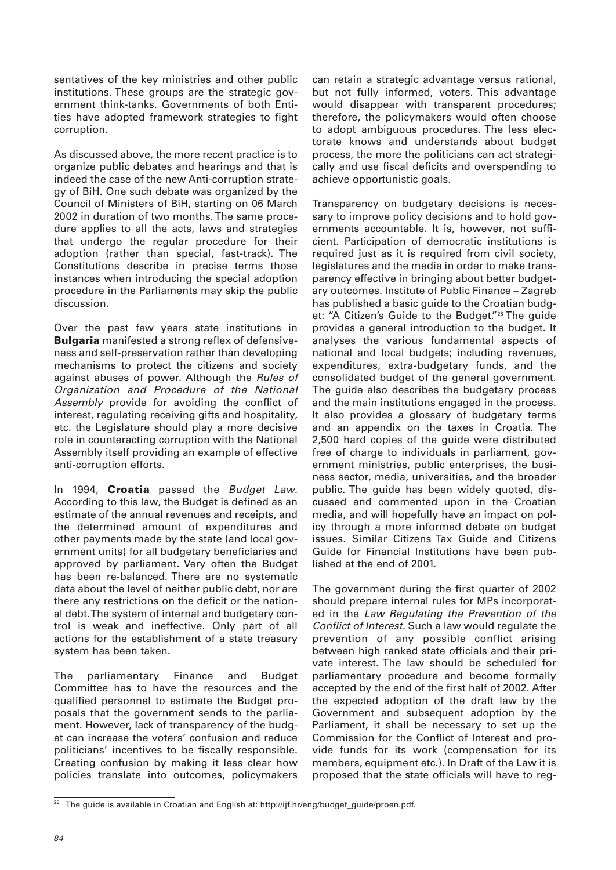sentatives of the key ministries and other public institutions. These groups are the strategic government think-tanks. Governments of both Entities have adopted framework strategies to fight corruption.

As discussed above, the more recent practice is to organize public debates and hearings and that is indeed the case of the new Anti-corruption strategy of BiH. One such debate was organized by the Council of Ministers of BiH, starting on 06 March 2002 in duration of two months. The same procedure applies to all the acts, laws and strategies that undergo the regular procedure for their adoption (rather than special, fast-track). The Constitutions describe in precise terms those instances when introducing the special adoption procedure in the Parliaments may skip the public discussion.

Over the past few years state institutions in **Bulgaria** manifested a strong reflex of defensiveness and self-preservation rather than developing mechanisms to protect the citizens and society against abuses of power. Although the Rules of Organization and Procedure of the National Assembly provide for avoiding the conflict of interest, regulating receiving gifts and hospitality, etc. the Legislature should play a more decisive role in counteracting corruption with the National Assembly itself providing an example of effective anti-corruption efforts.

In 1994, **Croatia** passed the Budget Law. According to this law, the Budget is defined as an estimate of the annual revenues and receipts, and the determined amount of expenditures and other payments made by the state (and local government units) for all budgetary beneficiaries and approved by parliament. Very often the Budget has been re-balanced. There are no systematic data about the level of neither public debt, nor are there any restrictions on the deficit or the national debt. The system of internal and budgetary control is weak and ineffective. Only part of all actions for the establishment of a state treasury system has been taken.

The parliamentary Finance and Budget Committee has to have the resources and the qualified personnel to estimate the Budget proposals that the government sends to the parliament. However, lack of transparency of the budget can increase the voters' confusion and reduce politicians' incentives to be fiscally responsible. Creating confusion by making it less clear how policies translate into outcomes, policymakers

can retain a strategic advantage versus rational, but not fully informed, voters. This advantage would disappear with transparent procedures; therefore, the policymakers would often choose to adopt ambiguous procedures. The less electorate knows and understands about budget process, the more the politicians can act strategically and use fiscal deficits and overspending to achieve opportunistic goals.

Transparency on budgetary decisions is necessary to improve policy decisions and to hold governments accountable. It is, however, not sufficient. Participation of democratic institutions is required just as it is required from civil society, legislatures and the media in order to make transparency effective in bringing about better budgetary outcomes. Institute of Public Finance – Zagreb has published a basic guide to the Croatian budget: "A Citizen's Guide to the Budget."28 The guide provides a general introduction to the budget. It analyses the various fundamental aspects of national and local budgets; including revenues, expenditures, extra-budgetary funds, and the consolidated budget of the general government. The guide also describes the budgetary process and the main institutions engaged in the process. It also provides a glossary of budgetary terms and an appendix on the taxes in Croatia. The 2,500 hard copies of the guide were distributed free of charge to individuals in parliament, government ministries, public enterprises, the business sector, media, universities, and the broader public. The guide has been widely quoted, discussed and commented upon in the Croatian media, and will hopefully have an impact on policy through a more informed debate on budget issues. Similar Citizens Tax Guide and Citizens Guide for Financial Institutions have been published at the end of 2001.

The government during the first quarter of 2002 should prepare internal rules for MPs incorporated in the Law Regulating the Prevention of the Conflict of Interest. Such a law would regulate the prevention of any possible conflict arising between high ranked state officials and their private interest. The law should be scheduled for parliamentary procedure and become formally accepted by the end of the first half of 2002. After the expected adoption of the draft law by the Government and subsequent adoption by the Parliament, it shall be necessary to set up the Commission for the Conflict of Interest and provide funds for its work (compensation for its members, equipment etc.). In Draft of the Law it is proposed that the state officials will have to reg-

<sup>&</sup>lt;sup>28</sup> The guide is available in Croatian and English at: http://ijf.hr/eng/budget\_guide/proen.pdf.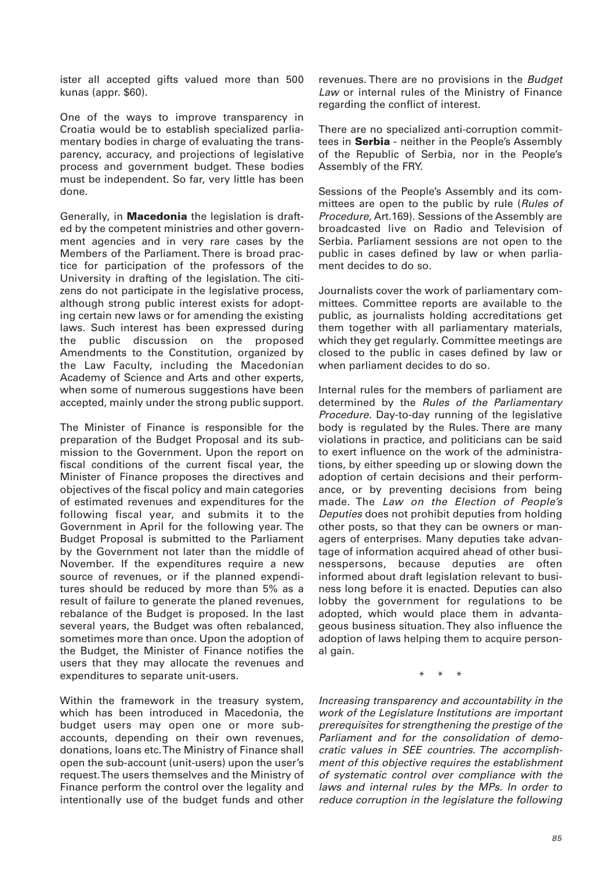ister all accepted gifts valued more than 500 kunas (appr. \$60).

One of the ways to improve transparency in Croatia would be to establish specialized parliamentary bodies in charge of evaluating the transparency, accuracy, and projections of legislative process and government budget. These bodies must be independent. So far, very little has been done.

Generally, in **Macedonia** the legislation is drafted by the competent ministries and other government agencies and in very rare cases by the Members of the Parliament. There is broad practice for participation of the professors of the University in drafting of the legislation. The citizens do not participate in the legislative process, although strong public interest exists for adopting certain new laws or for amending the existing laws. Such interest has been expressed during the public discussion on the proposed Amendments to the Constitution, organized by the Law Faculty, including the Macedonian Academy of Science and Arts and other experts, when some of numerous suggestions have been accepted, mainly under the strong public support.

The Minister of Finance is responsible for the preparation of the Budget Proposal and its submission to the Government. Upon the report on fiscal conditions of the current fiscal year, the Minister of Finance proposes the directives and objectives of the fiscal policy and main categories of estimated revenues and expenditures for the following fiscal year, and submits it to the Government in April for the following year. The Budget Proposal is submitted to the Parliament by the Government not later than the middle of November. If the expenditures require a new source of revenues, or if the planned expenditures should be reduced by more than 5% as a result of failure to generate the planed revenues, rebalance of the Budget is proposed. In the last several years, the Budget was often rebalanced, sometimes more than once. Upon the adoption of the Budget, the Minister of Finance notifies the users that they may allocate the revenues and expenditures to separate unit-users.

Within the framework in the treasury system, which has been introduced in Macedonia, the budget users may open one or more subaccounts, depending on their own revenues, donations, loans etc. The Ministry of Finance shall open the sub-account (unit-users) upon the user's request. The users themselves and the Ministry of Finance perform the control over the legality and intentionally use of the budget funds and other revenues. There are no provisions in the Budget Law or internal rules of the Ministry of Finance regarding the conflict of interest.

There are no specialized anti-corruption committees in **Serbia** - neither in the People's Assembly of the Republic of Serbia, nor in the People's Assembly of the FRY.

Sessions of the People's Assembly and its committees are open to the public by rule (Rules of Procedure, Art.169). Sessions of the Assembly are broadcasted live on Radio and Television of Serbia. Parliament sessions are not open to the public in cases defined by law or when parliament decides to do so.

Journalists cover the work of parliamentary committees. Committee reports are available to the public, as journalists holding accreditations get them together with all parliamentary materials, which they get regularly. Committee meetings are closed to the public in cases defined by law or when parliament decides to do so.

Internal rules for the members of parliament are determined by the Rules of the Parliamentary Procedure. Day-to-day running of the legislative body is regulated by the Rules. There are many violations in practice, and politicians can be said to exert influence on the work of the administrations, by either speeding up or slowing down the adoption of certain decisions and their performance, or by preventing decisions from being made. The Law on the Election of People's Deputies does not prohibit deputies from holding other posts, so that they can be owners or managers of enterprises. Many deputies take advantage of information acquired ahead of other businesspersons, because deputies are often informed about draft legislation relevant to business long before it is enacted. Deputies can also lobby the government for regulations to be adopted, which would place them in advantageous business situation. They also influence the adoption of laws helping them to acquire personal gain.

\* \* \*

Increasing transparency and accountability in the work of the Legislature Institutions are important prerequisites for strengthening the prestige of the Parliament and for the consolidation of democratic values in SEE countries. The accomplishment of this objective requires the establishment of systematic control over compliance with the laws and internal rules by the MPs. In order to reduce corruption in the legislature the following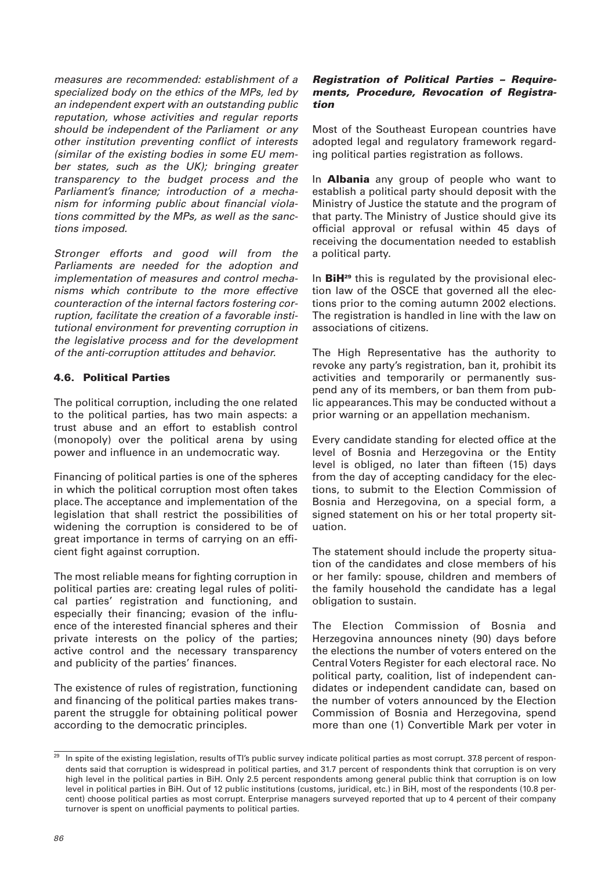measures are recommended: establishment of a specialized body on the ethics of the MPs, led by an independent expert with an outstanding public reputation, whose activities and regular reports should be independent of the Parliament or any other institution preventing conflict of interests (similar of the existing bodies in some EU member states, such as the UK); bringing greater transparency to the budget process and the Parliament's finance; introduction of a mechanism for informing public about financial violations committed by the MPs, as well as the sanctions imposed.

Stronger efforts and good will from the Parliaments are needed for the adoption and implementation of measures and control mechanisms which contribute to the more effective counteraction of the internal factors fostering corruption, facilitate the creation of a favorable institutional environment for preventing corruption in the legislative process and for the development of the anti-corruption attitudes and behavior.

# **4.6. Political Parties**

The political corruption, including the one related to the political parties, has two main aspects: a trust abuse and an effort to establish control (monopoly) over the political arena by using power and influence in an undemocratic way.

Financing of political parties is one of the spheres in which the political corruption most often takes place. The acceptance and implementation of the legislation that shall restrict the possibilities of widening the corruption is considered to be of great importance in terms of carrying on an efficient fight against corruption.

The most reliable means for fighting corruption in political parties are: creating legal rules of political parties' registration and functioning, and especially their financing; evasion of the influence of the interested financial spheres and their private interests on the policy of the parties; active control and the necessary transparency and publicity of the parties' finances.

The existence of rules of registration, functioning and financing of the political parties makes transparent the struggle for obtaining political power according to the democratic principles.

#### *Registration of Political Parties – Requirements, Procedure, Revocation of Registration*

Most of the Southeast European countries have adopted legal and regulatory framework regarding political parties registration as follows.

In **Albania** any group of people who want to establish a political party should deposit with the Ministry of Justice the statute and the program of that party. The Ministry of Justice should give its official approval or refusal within 45 days of receiving the documentation needed to establish a political party.

In **BiH**<sup>29</sup> this is regulated by the provisional election law of the OSCE that governed all the elections prior to the coming autumn 2002 elections. The registration is handled in line with the law on associations of citizens.

The High Representative has the authority to revoke any party's registration, ban it, prohibit its activities and temporarily or permanently suspend any of its members, or ban them from public appearances. This may be conducted without a prior warning or an appellation mechanism.

Every candidate standing for elected office at the level of Bosnia and Herzegovina or the Entity level is obliged, no later than fifteen (15) days from the day of accepting candidacy for the elections, to submit to the Election Commission of Bosnia and Herzegovina, on a special form, a signed statement on his or her total property situation.

The statement should include the property situation of the candidates and close members of his or her family: spouse, children and members of the family household the candidate has a legal obligation to sustain.

The Election Commission of Bosnia and Herzegovina announces ninety (90) days before the elections the number of voters entered on the Central Voters Register for each electoral race. No political party, coalition, list of independent candidates or independent candidate can, based on the number of voters announced by the Election Commission of Bosnia and Herzegovina, spend more than one (1) Convertible Mark per voter in

 $\frac{29}{29}$  In spite of the existing legislation, results of TI's public survey indicate political parties as most corrupt. 37.8 percent of respondents said that corruption is widespread in political parties, and 31.7 percent of respondents think that corruption is on very high level in the political parties in BiH. Only 2.5 percent respondents among general public think that corruption is on low level in political parties in BiH. Out of 12 public institutions (customs, juridical, etc.) in BiH, most of the respondents (10.8 percent) choose political parties as most corrupt. Enterprise managers surveyed reported that up to 4 percent of their company turnover is spent on unofficial payments to political parties.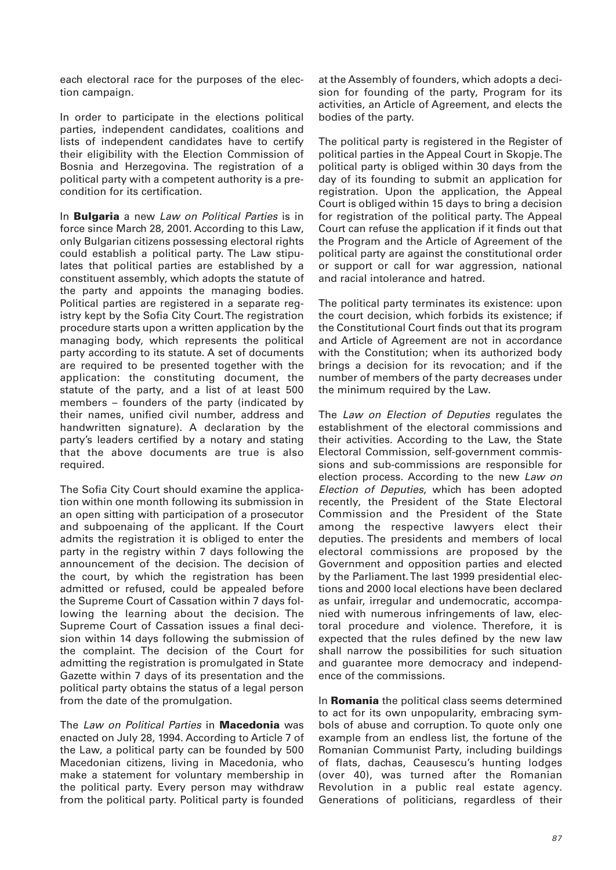each electoral race for the purposes of the election campaign.

In order to participate in the elections political parties, independent candidates, coalitions and lists of independent candidates have to certify their eligibility with the Election Commission of Bosnia and Herzegovina. The registration of a political party with a competent authority is a precondition for its certification.

In **Bulgaria** a new Law on Political Parties is in force since March 28, 2001. According to this Law, only Bulgarian citizens possessing electoral rights could establish a political party. The Law stipulates that political parties are established by a constituent assembly, which adopts the statute of the party and appoints the managing bodies. Political parties are registered in a separate registry kept by the Sofia City Court. The registration procedure starts upon a written application by the managing body, which represents the political party according to its statute. A set of documents are required to be presented together with the application: the constituting document, the statute of the party, and a list of at least 500 members – founders of the party (indicated by their names, unified civil number, address and handwritten signature). A declaration by the party's leaders certified by a notary and stating that the above documents are true is also required.

The Sofia City Court should examine the application within one month following its submission in an open sitting with participation of a prosecutor and subpoenaing of the applicant. If the Court admits the registration it is obliged to enter the party in the registry within 7 days following the announcement of the decision. The decision of the court, by which the registration has been admitted or refused, could be appealed before the Supreme Court of Cassation within 7 days following the learning about the decision. The Supreme Court of Cassation issues a final decision within 14 days following the submission of the complaint. The decision of the Court for admitting the registration is promulgated in State Gazette within 7 days of its presentation and the political party obtains the status of a legal person from the date of the promulgation.

The Law on Political Parties in **Macedonia** was enacted on July 28, 1994. According to Article 7 of the Law, a political party can be founded by 500 Macedonian citizens, living in Macedonia, who make a statement for voluntary membership in the political party. Every person may withdraw from the political party. Political party is founded

at the Assembly of founders, which adopts a decision for founding of the party, Program for its activities, an Article of Agreement, and elects the bodies of the party.

The political party is registered in the Register of political parties in the Appeal Court in Skopje. The political party is obliged within 30 days from the day of its founding to submit an application for registration. Upon the application, the Appeal Court is obliged within 15 days to bring a decision for registration of the political party. The Appeal Court can refuse the application if it finds out that the Program and the Article of Agreement of the political party are against the constitutional order or support or call for war aggression, national and racial intolerance and hatred.

The political party terminates its existence: upon the court decision, which forbids its existence; if the Constitutional Court finds out that its program and Article of Agreement are not in accordance with the Constitution; when its authorized body brings a decision for its revocation; and if the number of members of the party decreases under the minimum required by the Law.

The Law on Election of Deputies regulates the establishment of the electoral commissions and their activities. According to the Law, the State Electoral Commission, self-government commissions and sub-commissions are responsible for election process. According to the new Law on Election of Deputies, which has been adopted recently, the President of the State Electoral Commission and the President of the State among the respective lawyers elect their deputies. The presidents and members of local electoral commissions are proposed by the Government and opposition parties and elected by the Parliament. The last 1999 presidential elections and 2000 local elections have been declared as unfair, irregular and undemocratic, accompanied with numerous infringements of law, electoral procedure and violence. Therefore, it is expected that the rules defined by the new law shall narrow the possibilities for such situation and guarantee more democracy and independence of the commissions.

In **Romania** the political class seems determined to act for its own unpopularity, embracing symbols of abuse and corruption. To quote only one example from an endless list, the fortune of the Romanian Communist Party, including buildings of flats, dachas, Ceausescu's hunting lodges (over 40), was turned after the Romanian Revolution in a public real estate agency. Generations of politicians, regardless of their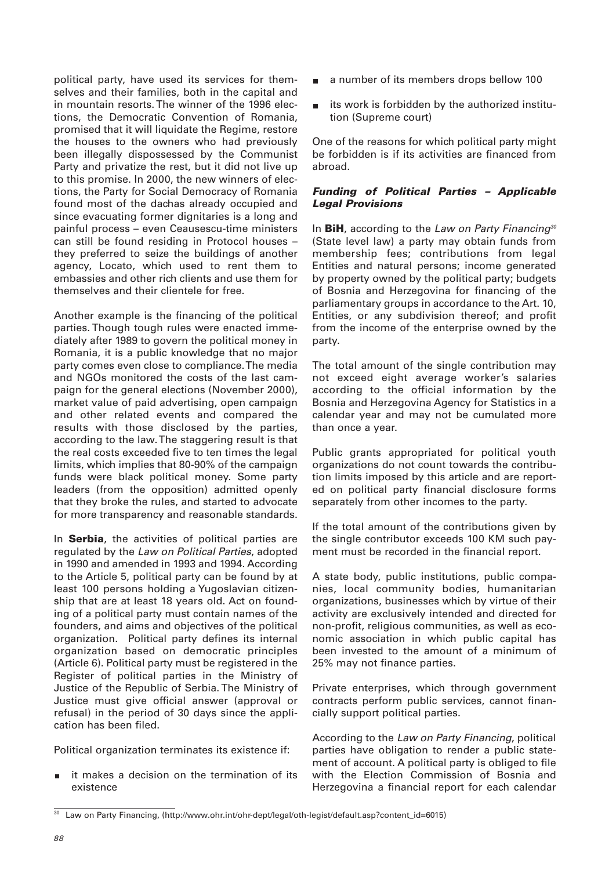political party, have used its services for themselves and their families, both in the capital and in mountain resorts. The winner of the 1996 elections, the Democratic Convention of Romania, promised that it will liquidate the Regime, restore the houses to the owners who had previously been illegally dispossessed by the Communist Party and privatize the rest, but it did not live up to this promise. In 2000, the new winners of elections, the Party for Social Democracy of Romania found most of the dachas already occupied and since evacuating former dignitaries is a long and painful process – even Ceausescu-time ministers can still be found residing in Protocol houses – they preferred to seize the buildings of another agency, Locato, which used to rent them to embassies and other rich clients and use them for themselves and their clientele for free.

Another example is the financing of the political parties. Though tough rules were enacted immediately after 1989 to govern the political money in Romania, it is a public knowledge that no major party comes even close to compliance. The media and NGOs monitored the costs of the last campaign for the general elections (November 2000), market value of paid advertising, open campaign and other related events and compared the results with those disclosed by the parties, according to the law. The staggering result is that the real costs exceeded five to ten times the legal limits, which implies that 80-90% of the campaign funds were black political money. Some party leaders (from the opposition) admitted openly that they broke the rules, and started to advocate for more transparency and reasonable standards.

In **Serbia**, the activities of political parties are regulated by the Law on Political Parties, adopted in 1990 and amended in 1993 and 1994. According to the Article 5, political party can be found by at least 100 persons holding a Yugoslavian citizenship that are at least 18 years old. Act on founding of a political party must contain names of the founders, and aims and objectives of the political organization. Political party defines its internal organization based on democratic principles (Article 6). Political party must be registered in the Register of political parties in the Ministry of Justice of the Republic of Serbia. The Ministry of Justice must give official answer (approval or refusal) in the period of 30 days since the application has been filed.

Political organization terminates its existence if:

it makes a decision on the termination of its existence

- a number of its members drops bellow 100
- its work is forbidden by the authorized institu- $\blacksquare$ tion (Supreme court)

One of the reasons for which political party might be forbidden is if its activities are financed from abroad.

## *Funding of Political Parties – Applicable Legal Provisions*

In **BiH**, according to the Law on Party Financing<sup>30</sup> (State level law) a party may obtain funds from membership fees; contributions from legal Entities and natural persons; income generated by property owned by the political party; budgets of Bosnia and Herzegovina for financing of the parliamentary groups in accordance to the Art. 10, Entities, or any subdivision thereof; and profit from the income of the enterprise owned by the party.

The total amount of the single contribution may not exceed eight average worker's salaries according to the official information by the Bosnia and Herzegovina Agency for Statistics in a calendar year and may not be cumulated more than once a year.

Public grants appropriated for political youth organizations do not count towards the contribution limits imposed by this article and are reported on political party financial disclosure forms separately from other incomes to the party.

If the total amount of the contributions given by the single contributor exceeds 100 KM such payment must be recorded in the financial report.

A state body, public institutions, public companies, local community bodies, humanitarian organizations, businesses which by virtue of their activity are exclusively intended and directed for non-profit, religious communities, as well as economic association in which public capital has been invested to the amount of a minimum of 25% may not finance parties.

Private enterprises, which through government contracts perform public services, cannot financially support political parties.

According to the Law on Party Financing, political parties have obligation to render a public statement of account. A political party is obliged to file with the Election Commission of Bosnia and Herzegovina a financial report for each calendar

<sup>30</sup> Law on Party Financing, (http://www.ohr.int/ohr-dept/legal/oth-legist/default.asp?content\_id=6015)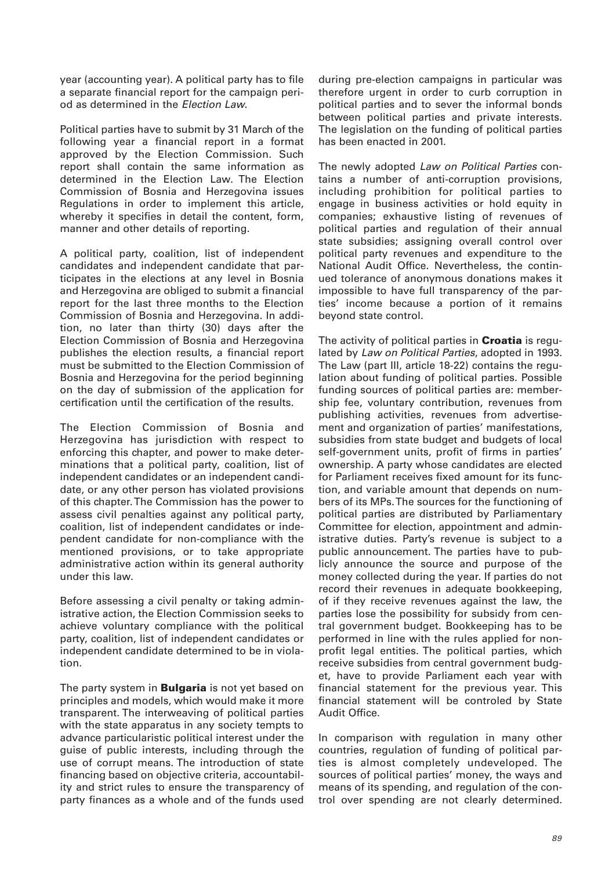year (accounting year). A political party has to file a separate financial report for the campaign period as determined in the Election Law.

Political parties have to submit by 31 March of the following year a financial report in a format approved by the Election Commission. Such report shall contain the same information as determined in the Election Law. The Election Commission of Bosnia and Herzegovina issues Regulations in order to implement this article, whereby it specifies in detail the content, form, manner and other details of reporting.

A political party, coalition, list of independent candidates and independent candidate that participates in the elections at any level in Bosnia and Herzegovina are obliged to submit a financial report for the last three months to the Election Commission of Bosnia and Herzegovina. In addition, no later than thirty (30) days after the Election Commission of Bosnia and Herzegovina publishes the election results, a financial report must be submitted to the Election Commission of Bosnia and Herzegovina for the period beginning on the day of submission of the application for certification until the certification of the results.

The Election Commission of Bosnia and Herzegovina has jurisdiction with respect to enforcing this chapter, and power to make determinations that a political party, coalition, list of independent candidates or an independent candidate, or any other person has violated provisions of this chapter. The Commission has the power to assess civil penalties against any political party, coalition, list of independent candidates or independent candidate for non-compliance with the mentioned provisions, or to take appropriate administrative action within its general authority under this law.

Before assessing a civil penalty or taking administrative action, the Election Commission seeks to achieve voluntary compliance with the political party, coalition, list of independent candidates or independent candidate determined to be in violation.

The party system in **Bulgaria** is not yet based on principles and models, which would make it more transparent. The interweaving of political parties with the state apparatus in any society tempts to advance particularistic political interest under the guise of public interests, including through the use of corrupt means. The introduction of state financing based on objective criteria, accountability and strict rules to ensure the transparency of party finances as a whole and of the funds used

during pre-election campaigns in particular was therefore urgent in order to curb corruption in political parties and to sever the informal bonds between political parties and private interests. The legislation on the funding of political parties has been enacted in 2001.

The newly adopted Law on Political Parties contains a number of anti-corruption provisions, including prohibition for political parties to engage in business activities or hold equity in companies; exhaustive listing of revenues of political parties and regulation of their annual state subsidies; assigning overall control over political party revenues and expenditure to the National Audit Office. Nevertheless, the continued tolerance of anonymous donations makes it impossible to have full transparency of the parties' income because a portion of it remains beyond state control.

The activity of political parties in **Croatia** is regulated by Law on Political Parties, adopted in 1993. The Law (part III, article 18-22) contains the regulation about funding of political parties. Possible funding sources of political parties are: membership fee, voluntary contribution, revenues from publishing activities, revenues from advertisement and organization of parties' manifestations, subsidies from state budget and budgets of local self-government units, profit of firms in parties' ownership. A party whose candidates are elected for Parliament receives fixed amount for its function, and variable amount that depends on numbers of its MPs. The sources for the functioning of political parties are distributed by Parliamentary Committee for election, appointment and administrative duties. Party's revenue is subject to a public announcement. The parties have to publicly announce the source and purpose of the money collected during the year. If parties do not record their revenues in adequate bookkeeping, of if they receive revenues against the law, the parties lose the possibility for subsidy from central government budget. Bookkeeping has to be performed in line with the rules applied for nonprofit legal entities. The political parties, which receive subsidies from central government budget, have to provide Parliament each year with financial statement for the previous year. This financial statement will be controled by State Audit Office.

In comparison with regulation in many other countries, regulation of funding of political parties is almost completely undeveloped. The sources of political parties' money, the ways and means of its spending, and regulation of the control over spending are not clearly determined.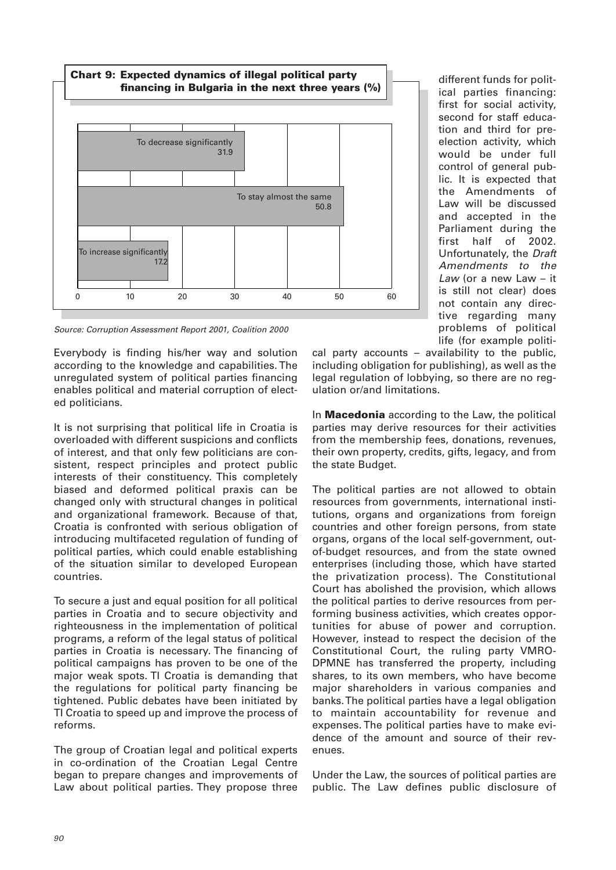

Source: Corruption Assessment Report 2001, Coalition 2000

Everybody is finding his/her way and solution according to the knowledge and capabilities. The unregulated system of political parties financing enables political and material corruption of elected politicians.

It is not surprising that political life in Croatia is overloaded with different suspicions and conflicts of interest, and that only few politicians are consistent, respect principles and protect public interests of their constituency. This completely biased and deformed political praxis can be changed only with structural changes in political and organizational framework. Because of that, Croatia is confronted with serious obligation of introducing multifaceted regulation of funding of political parties, which could enable establishing of the situation similar to developed European countries.

To secure a just and equal position for all political parties in Croatia and to secure objectivity and righteousness in the implementation of political programs, a reform of the legal status of political parties in Croatia is necessary. The financing of political campaigns has proven to be one of the major weak spots. TI Croatia is demanding that the regulations for political party financing be tightened. Public debates have been initiated by TI Croatia to speed up and improve the process of reforms.

The group of Croatian legal and political experts in co-ordination of the Croatian Legal Centre began to prepare changes and improvements of Law about political parties. They propose three

different funds for political parties financing: first for social activity, second for staff education and third for preelection activity, which would be under full control of general public. It is expected that the Amendments of Law will be discussed and accepted in the Parliament during the first half of 2002. Unfortunately, the Draft Amendments to the Law (or a new Law – it is still not clear) does not contain any directive regarding many problems of political life (for example politi-

cal party accounts – availability to the public, including obligation for publishing), as well as the legal regulation of lobbying, so there are no regulation or/and limitations.

In **Macedonia** according to the Law, the political parties may derive resources for their activities from the membership fees, donations, revenues, their own property, credits, gifts, legacy, and from the state Budget.

The political parties are not allowed to obtain resources from governments, international institutions, organs and organizations from foreign countries and other foreign persons, from state organs, organs of the local self-government, outof-budget resources, and from the state owned enterprises (including those, which have started the privatization process). The Constitutional Court has abolished the provision, which allows the political parties to derive resources from performing business activities, which creates opportunities for abuse of power and corruption. However, instead to respect the decision of the Constitutional Court, the ruling party VMRO-DPMNE has transferred the property, including shares, to its own members, who have become major shareholders in various companies and banks. The political parties have a legal obligation to maintain accountability for revenue and expenses. The political parties have to make evidence of the amount and source of their revenues.

Under the Law, the sources of political parties are public. The Law defines public disclosure of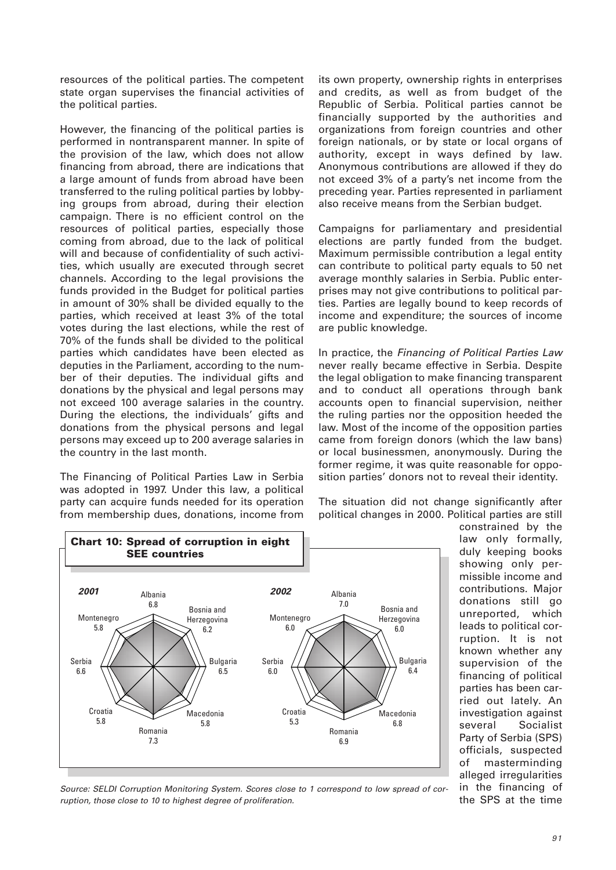resources of the political parties. The competent state organ supervises the financial activities of the political parties.

However, the financing of the political parties is performed in nontransparent manner. In spite of the provision of the law, which does not allow financing from abroad, there are indications that a large amount of funds from abroad have been transferred to the ruling political parties by lobbying groups from abroad, during their election campaign. There is no efficient control on the resources of political parties, especially those coming from abroad, due to the lack of political will and because of confidentiality of such activities, which usually are executed through secret channels. According to the legal provisions the funds provided in the Budget for political parties in amount of 30% shall be divided equally to the parties, which received at least 3% of the total votes during the last elections, while the rest of 70% of the funds shall be divided to the political parties which candidates have been elected as deputies in the Parliament, according to the number of their deputies. The individual gifts and donations by the physical and legal persons may not exceed 100 average salaries in the country. During the elections, the individuals' gifts and donations from the physical persons and legal persons may exceed up to 200 average salaries in the country in the last month.

The Financing of Political Parties Law in Serbia was adopted in 1997. Under this law, a political party can acquire funds needed for its operation from membership dues, donations, income from its own property, ownership rights in enterprises and credits, as well as from budget of the Republic of Serbia. Political parties cannot be financially supported by the authorities and organizations from foreign countries and other foreign nationals, or by state or local organs of authority, except in ways defined by law. Anonymous contributions are allowed if they do not exceed 3% of a party's net income from the preceding year. Parties represented in parliament also receive means from the Serbian budget.

Campaigns for parliamentary and presidential elections are partly funded from the budget. Maximum permissible contribution a legal entity can contribute to political party equals to 50 net average monthly salaries in Serbia. Public enterprises may not give contributions to political parties. Parties are legally bound to keep records of income and expenditure; the sources of income are public knowledge.

In practice, the Financing of Political Parties Law never really became effective in Serbia. Despite the legal obligation to make financing transparent and to conduct all operations through bank accounts open to financial supervision, neither the ruling parties nor the opposition heeded the law. Most of the income of the opposition parties came from foreign donors (which the law bans) or local businessmen, anonymously. During the former regime, it was quite reasonable for opposition parties' donors not to reveal their identity.

The situation did not change significantly after political changes in 2000. Political parties are still



constrained by the law only formally, duly keeping books showing only permissible income and contributions. Major donations still go unreported, which leads to political corruption. It is not known whether any supervision of the financing of political parties has been carried out lately. An investigation against several Socialist Party of Serbia (SPS) officials, suspected of masterminding alleged irregularities in the financing of the SPS at the time

Source: SELDI Corruption Monitoring System. Scores close to 1 correspond to low spread of corruption, those close to 10 to highest degree of proliferation.